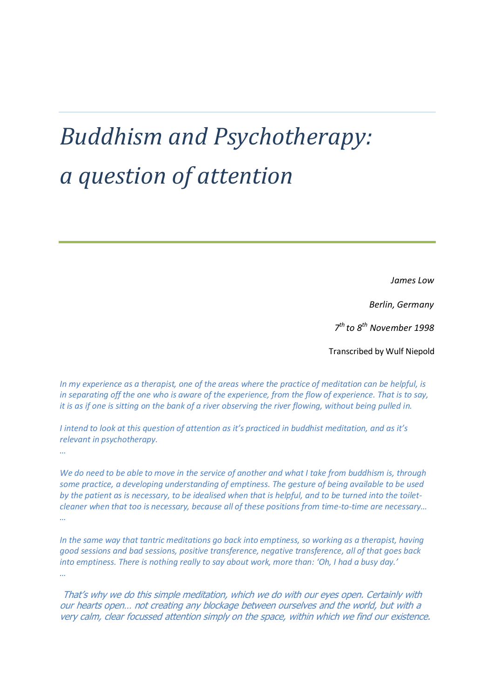# *Buddhism and Psychotherapy: a question of attention*

*James Low*

*Berlin, Germany*

*7 th to 8th November 1998*

Transcribed by Wulf Niepold

*In my experience as a therapist, one of the areas where the practice of meditation can be helpful, is in separating off the one who is aware of the experience, from the flow of experience. That is to say, it is as if one is sitting on the bank of a river observing the river flowing, without being pulled in.*

*I intend to look at this question of attention as it's practiced in buddhist meditation, and as it's relevant in psychotherapy.*

*…*

*We do need to be able to move in the service of another and what I take from buddhism is, through some practice, a developing understanding of emptiness. The gesture of being available to be used by the patient as is necessary, to be idealised when that is helpful, and to be turned into the toiletcleaner when that too is necessary, because all of these positions from time-to-time are necessary… …*

*In the same way that tantric meditations go back into emptiness, so working as a therapist, having good sessions and bad sessions, positive transference, negative transference, all of that goes back into emptiness. There is nothing really to say about work, more than: 'Oh, I had a busy day.' …*

That's why we do this simple meditation, which we do with our eyes open. Certainly with our hearts open… not creating any blockage between ourselves and the world, but with a very calm, clear focussed attention simply on the space, within which we find our existence.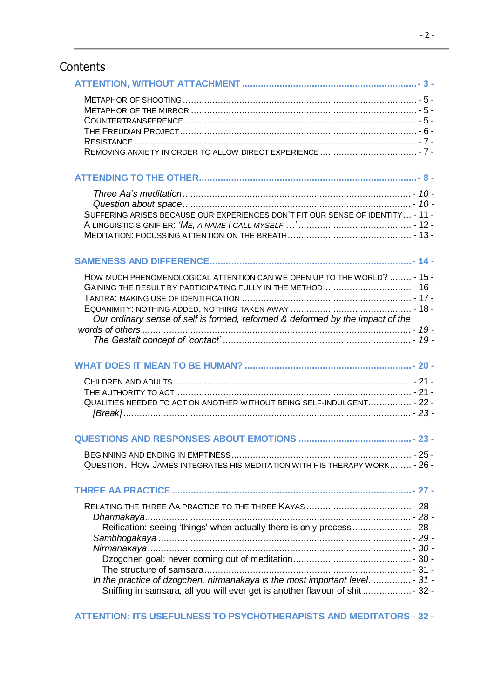# **Contents**

| SUFFERING ARISES BECAUSE OUR EXPERIENCES DON'T FIT OUR SENSE OF IDENTITY - 11 -                                                                            |  |
|------------------------------------------------------------------------------------------------------------------------------------------------------------|--|
|                                                                                                                                                            |  |
| HOW MUCH PHENOMENOLOGICAL ATTENTION CAN WE OPEN UP TO THE WORLD?  - 15 -<br>Our ordinary sense of self is formed, reformed & deformed by the impact of the |  |
|                                                                                                                                                            |  |
|                                                                                                                                                            |  |
| QUALITIES NEEDED TO ACT ON ANOTHER WITHOUT BEING SELF-INDULGENT - 22 -                                                                                     |  |
|                                                                                                                                                            |  |
| QUESTION. HOW JAMES INTEGRATES HIS MEDITATION WITH HIS THERAPY WORK - 26 -                                                                                 |  |
|                                                                                                                                                            |  |
|                                                                                                                                                            |  |
| Reification: seeing 'things' when actually there is only process - 28 -                                                                                    |  |
|                                                                                                                                                            |  |
|                                                                                                                                                            |  |
| In the practice of dzogchen, nirmanakaya is the most important level - 31 -                                                                                |  |
| Sniffing in samsara, all you will ever get is another flavour of shit  - 32 -                                                                              |  |
|                                                                                                                                                            |  |

**ATTENTION: ITS USEFULNESS [TO PSYCHOTHERAPISTS AND MEDITATORS](#page-31-1) - 32 -**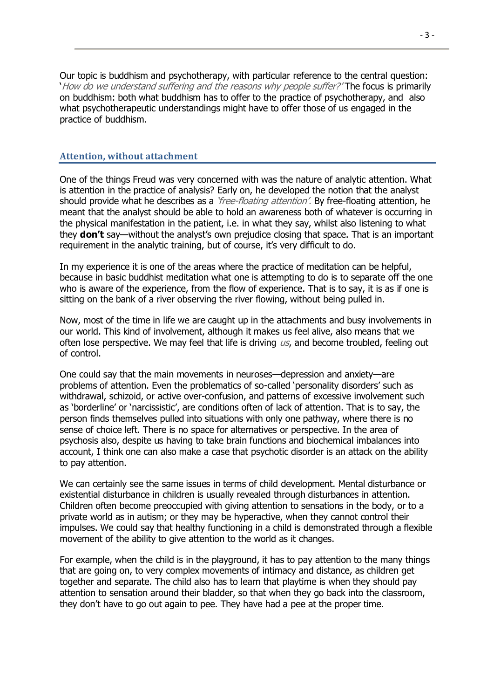Our topic is buddhism and psychotherapy, with particular reference to the central question: 'How do we understand suffering and the reasons why people suffer?' The focus is primarily on buddhism: both what buddhism has to offer to the practice of psychotherapy, and also what psychotherapeutic understandings might have to offer those of us engaged in the practice of buddhism.

#### <span id="page-2-0"></span>**Attention, without attachment**

One of the things Freud was very concerned with was the nature of analytic attention. What is attention in the practice of analysis? Early on, he developed the notion that the analyst should provide what he describes as a *'free-floating attention'*. By free-floating attention, he meant that the analyst should be able to hold an awareness both of whatever is occurring in the physical manifestation in the patient, i.e. in what they say, whilst also listening to what they **don't** say—without the analyst's own prejudice closing that space. That is an important requirement in the analytic training, but of course, it's very difficult to do.

In my experience it is one of the areas where the practice of meditation can be helpful, because in basic buddhist meditation what one is attempting to do is to separate off the one who is aware of the experience, from the flow of experience. That is to say, it is as if one is sitting on the bank of a river observing the river flowing, without being pulled in.

Now, most of the time in life we are caught up in the attachments and busy involvements in our world. This kind of involvement, although it makes us feel alive, also means that we often lose perspective. We may feel that life is driving  $\mu s$ , and become troubled, feeling out of control.

One could say that the main movements in neuroses—depression and anxiety—are problems of attention. Even the problematics of so-called 'personality disorders' such as withdrawal, schizoid, or active over-confusion, and patterns of excessive involvement such as 'borderline' or 'narcissistic', are conditions often of lack of attention. That is to say, the person finds themselves pulled into situations with only one pathway, where there is no sense of choice left. There is no space for alternatives or perspective. In the area of psychosis also, despite us having to take brain functions and biochemical imbalances into account, I think one can also make a case that psychotic disorder is an attack on the ability to pay attention.

We can certainly see the same issues in terms of child development. Mental disturbance or existential disturbance in children is usually revealed through disturbances in attention. Children often become preoccupied with giving attention to sensations in the body, or to a private world as in autism; or they may be hyperactive, when they cannot control their impulses. We could say that healthy functioning in a child is demonstrated through a flexible movement of the ability to give attention to the world as it changes.

For example, when the child is in the playground, it has to pay attention to the many things that are going on, to very complex movements of intimacy and distance, as children get together and separate. The child also has to learn that playtime is when they should pay attention to sensation around their bladder, so that when they go back into the classroom, they don't have to go out again to pee. They have had a pee at the proper time.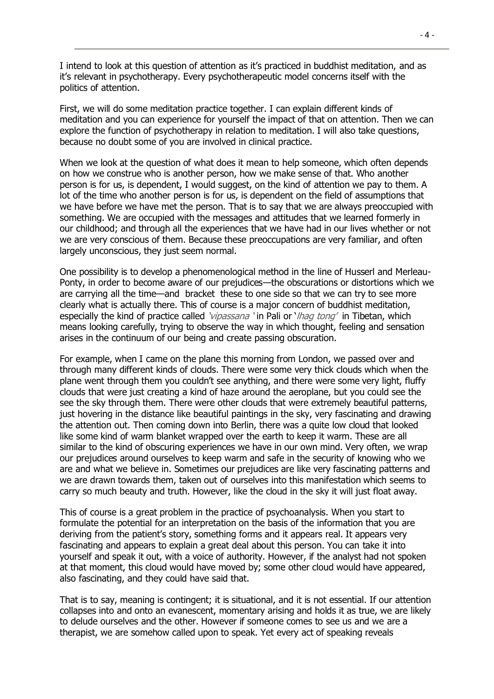I intend to look at this question of attention as it's practiced in buddhist meditation, and as it's relevant in psychotherapy. Every psychotherapeutic model concerns itself with the politics of attention.

First, we will do some meditation practice together. I can explain different kinds of meditation and you can experience for yourself the impact of that on attention. Then we can explore the function of psychotherapy in relation to meditation. I will also take questions, because no doubt some of you are involved in clinical practice.

When we look at the question of what does it mean to help someone, which often depends on how we construe who is another person, how we make sense of that. Who another person is for us, is dependent, I would suggest, on the kind of attention we pay to them. A lot of the time who another person is for us, is dependent on the field of assumptions that we have before we have met the person. That is to say that we are always preoccupied with something. We are occupied with the messages and attitudes that we learned formerly in our childhood; and through all the experiences that we have had in our lives whether or not we are very conscious of them. Because these preoccupations are very familiar, and often largely unconscious, they just seem normal.

One possibility is to develop a phenomenological method in the line of Husserl and Merleau-Ponty, in order to become aware of our prejudices—the obscurations or distortions which we are carrying all the time—and bracket these to one side so that we can try to see more clearly what is actually there. This of course is a major concern of buddhist meditation, especially the kind of practice called 'vipassana ' in Pali or '*lhag tong'* in Tibetan, which means looking carefully, trying to observe the way in which thought, feeling and sensation arises in the continuum of our being and create passing obscuration.

For example, when I came on the plane this morning from London, we passed over and through many different kinds of clouds. There were some very thick clouds which when the plane went through them you couldn't see anything, and there were some very light, fluffy clouds that were just creating a kind of haze around the aeroplane, but you could see the see the sky through them. There were other clouds that were extremely beautiful patterns, just hovering in the distance like beautiful paintings in the sky, very fascinating and drawing the attention out. Then coming down into Berlin, there was a quite low cloud that looked like some kind of warm blanket wrapped over the earth to keep it warm. These are all similar to the kind of obscuring experiences we have in our own mind. Very often, we wrap our prejudices around ourselves to keep warm and safe in the security of knowing who we are and what we believe in. Sometimes our prejudices are like very fascinating patterns and we are drawn towards them, taken out of ourselves into this manifestation which seems to carry so much beauty and truth. However, like the cloud in the sky it will just float away.

This of course is a great problem in the practice of psychoanalysis. When you start to formulate the potential for an interpretation on the basis of the information that you are deriving from the patient's story, something forms and it appears real. It appears very fascinating and appears to explain a great deal about this person. You can take it into yourself and speak it out, with a voice of authority. However, if the analyst had not spoken at that moment, this cloud would have moved by; some other cloud would have appeared, also fascinating, and they could have said that.

That is to say, meaning is contingent; it is situational, and it is not essential. If our attention collapses into and onto an evanescent, momentary arising and holds it as true, we are likely to delude ourselves and the other. However if someone comes to see us and we are a therapist, we are somehow called upon to speak. Yet every act of speaking reveals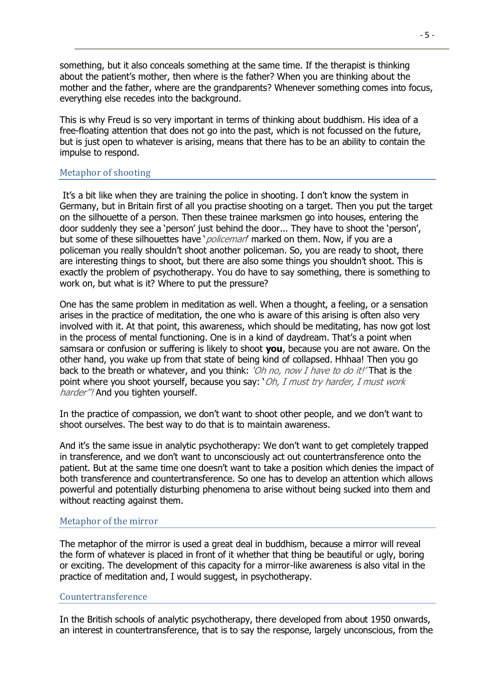something, but it also conceals something at the same time. If the therapist is thinking about the patient's mother, then where is the father? When you are thinking about the mother and the father, where are the grandparents? Whenever something comes into focus, everything else recedes into the background.

This is why Freud is so very important in terms of thinking about buddhism. His idea of a free-floating attention that does not go into the past, which is not focussed on the future, but is just open to whatever is arising, means that there has to be an ability to contain the impulse to respond.

# <span id="page-4-0"></span>Metaphor of shooting

It's a bit like when they are training the police in shooting. I don't know the system in Germany, but in Britain first of all you practise shooting on a target. Then you put the target on the silhouette of a person. Then these trainee marksmen go into houses, entering the door suddenly they see a 'person' just behind the door... They have to shoot the 'person', but some of these silhouettes have '*policeman'* marked on them. Now, if you are a policeman you really shouldn't shoot another policeman. So, you are ready to shoot, there are interesting things to shoot, but there are also some things you shouldn't shoot. This is exactly the problem of psychotherapy. You do have to say something, there is something to work on, but what is it? Where to put the pressure?

One has the same problem in meditation as well. When a thought, a feeling, or a sensation arises in the practice of meditation, the one who is aware of this arising is often also very involved with it. At that point, this awareness, which should be meditating, has now got lost in the process of mental functioning. One is in a kind of daydream. That's a point when samsara or confusion or suffering is likely to shoot **you**, because you are not aware. On the other hand, you wake up from that state of being kind of collapsed. Hhhaa! Then you go back to the breath or whatever, and you think: '*Oh no, now I have to do it!'* That is the point where you shoot yourself, because you say: 'Oh, I must try harder, I must work harder"! And you tighten yourself.

In the practice of compassion, we don't want to shoot other people, and we don't want to shoot ourselves. The best way to do that is to maintain awareness.

And it's the same issue in analytic psychotherapy: We don't want to get completely trapped in transference, and we don't want to unconsciously act out countertransference onto the patient. But at the same time one doesn't want to take a position which denies the impact of both transference and countertransference. So one has to develop an attention which allows powerful and potentially disturbing phenomena to arise without being sucked into them and without reacting against them.

#### <span id="page-4-1"></span>Metaphor of the mirror

The metaphor of the mirror is used a great deal in buddhism, because a mirror will reveal the form of whatever is placed in front of it whether that thing be beautiful or ugly, boring or exciting. The development of this capacity for a mirror-like awareness is also vital in the practice of meditation and, I would suggest, in psychotherapy.

#### <span id="page-4-2"></span>Countertransference

In the British schools of analytic psychotherapy, there developed from about 1950 onwards, an interest in countertransference, that is to say the response, largely unconscious, from the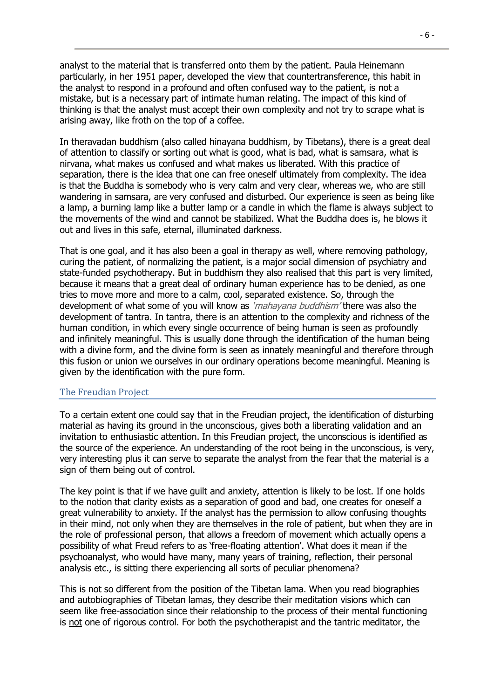analyst to the material that is transferred onto them by the patient. Paula Heinemann particularly, in her 1951 paper, developed the view that countertransference, this habit in the analyst to respond in a profound and often confused way to the patient, is not a mistake, but is a necessary part of intimate human relating. The impact of this kind of thinking is that the analyst must accept their own complexity and not try to scrape what is arising away, like froth on the top of a coffee.

In theravadan buddhism (also called hinayana buddhism, by Tibetans), there is a great deal of attention to classify or sorting out what is good, what is bad, what is samsara, what is nirvana, what makes us confused and what makes us liberated. With this practice of separation, there is the idea that one can free oneself ultimately from complexity. The idea is that the Buddha is somebody who is very calm and very clear, whereas we, who are still wandering in samsara, are very confused and disturbed. Our experience is seen as being like a lamp, a burning lamp like a butter lamp or a candle in which the flame is always subject to the movements of the wind and cannot be stabilized. What the Buddha does is, he blows it out and lives in this safe, eternal, illuminated darkness.

That is one goal, and it has also been a goal in therapy as well, where removing pathology, curing the patient, of normalizing the patient, is a major social dimension of psychiatry and state-funded psychotherapy. But in buddhism they also realised that this part is very limited, because it means that a great deal of ordinary human experience has to be denied, as one tries to move more and more to a calm, cool, separated existence. So, through the development of what some of you will know as *'mahayana buddhism'* there was also the development of tantra. In tantra, there is an attention to the complexity and richness of the human condition, in which every single occurrence of being human is seen as profoundly and infinitely meaningful. This is usually done through the identification of the human being with a divine form, and the divine form is seen as innately meaningful and therefore through this fusion or union we ourselves in our ordinary operations become meaningful. Meaning is given by the identification with the pure form.

# <span id="page-5-0"></span>The Freudian Project

To a certain extent one could say that in the Freudian project, the identification of disturbing material as having its ground in the unconscious, gives both a liberating validation and an invitation to enthusiastic attention. In this Freudian project, the unconscious is identified as the source of the experience. An understanding of the root being in the unconscious, is very, very interesting plus it can serve to separate the analyst from the fear that the material is a sign of them being out of control.

The key point is that if we have guilt and anxiety, attention is likely to be lost. If one holds to the notion that clarity exists as a separation of good and bad, one creates for oneself a great vulnerability to anxiety. If the analyst has the permission to allow confusing thoughts in their mind, not only when they are themselves in the role of patient, but when they are in the role of professional person, that allows a freedom of movement which actually opens a possibility of what Freud refers to as 'free-floating attention'. What does it mean if the psychoanalyst, who would have many, many years of training, reflection, their personal analysis etc., is sitting there experiencing all sorts of peculiar phenomena?

This is not so different from the position of the Tibetan lama. When you read biographies and autobiographies of Tibetan lamas, they describe their meditation visions which can seem like free-association since their relationship to the process of their mental functioning is not one of rigorous control. For both the psychotherapist and the tantric meditator, the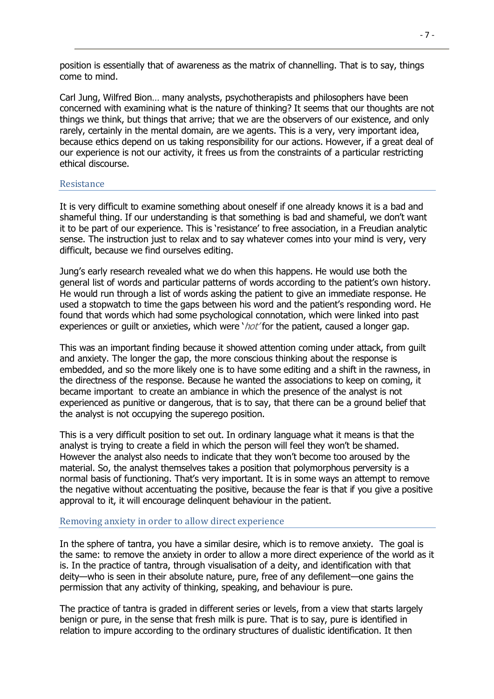position is essentially that of awareness as the matrix of channelling. That is to say, things come to mind.

Carl Jung, Wilfred Bion… many analysts, psychotherapists and philosophers have been concerned with examining what is the nature of thinking? It seems that our thoughts are not things we think, but things that arrive; that we are the observers of our existence, and only rarely, certainly in the mental domain, are we agents. This is a very, very important idea, because ethics depend on us taking responsibility for our actions. However, if a great deal of our experience is not our activity, it frees us from the constraints of a particular restricting ethical discourse.

#### <span id="page-6-0"></span>Resistance

It is very difficult to examine something about oneself if one already knows it is a bad and shameful thing. If our understanding is that something is bad and shameful, we don't want it to be part of our experience. This is 'resistance' to free association, in a Freudian analytic sense. The instruction just to relax and to say whatever comes into your mind is very, very difficult, because we find ourselves editing.

Jung's early research revealed what we do when this happens. He would use both the general list of words and particular patterns of words according to the patient's own history. He would run through a list of words asking the patient to give an immediate response. He used a stopwatch to time the gaps between his word and the patient's responding word. He found that words which had some psychological connotation, which were linked into past experiences or quilt or anxieties, which were ' $hot$ ' for the patient, caused a longer gap.

This was an important finding because it showed attention coming under attack, from guilt and anxiety. The longer the gap, the more conscious thinking about the response is embedded, and so the more likely one is to have some editing and a shift in the rawness, in the directness of the response. Because he wanted the associations to keep on coming, it became important to create an ambiance in which the presence of the analyst is not experienced as punitive or dangerous, that is to say, that there can be a ground belief that the analyst is not occupying the superego position.

This is a very difficult position to set out. In ordinary language what it means is that the analyst is trying to create a field in which the person will feel they won't be shamed. However the analyst also needs to indicate that they won't become too aroused by the material. So, the analyst themselves takes a position that polymorphous perversity is a normal basis of functioning. That's very important. It is in some ways an attempt to remove the negative without accentuating the positive, because the fear is that if you give a positive approval to it, it will encourage delinquent behaviour in the patient.

#### <span id="page-6-1"></span>Removing anxiety in order to allow direct experience

In the sphere of tantra, you have a similar desire, which is to remove anxiety. The goal is the same: to remove the anxiety in order to allow a more direct experience of the world as it is. In the practice of tantra, through visualisation of a deity, and identification with that deity—who is seen in their absolute nature, pure, free of any defilement—one gains the permission that any activity of thinking, speaking, and behaviour is pure.

The practice of tantra is graded in different series or levels, from a view that starts largely benign or pure, in the sense that fresh milk is pure. That is to say, pure is identified in relation to impure according to the ordinary structures of dualistic identification. It then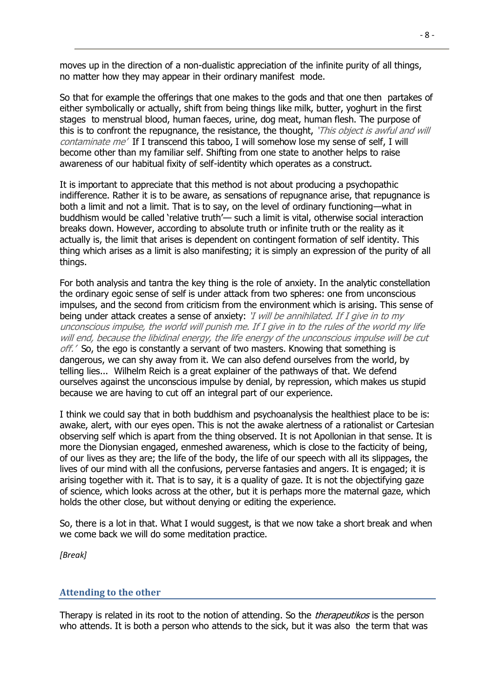moves up in the direction of a non-dualistic appreciation of the infinite purity of all things, no matter how they may appear in their ordinary manifest mode.

So that for example the offerings that one makes to the gods and that one then partakes of either symbolically or actually, shift from being things like milk, butter, yoghurt in the first stages to menstrual blood, human faeces, urine, dog meat, human flesh. The purpose of this is to confront the repugnance, the resistance, the thought, 'This object is awful and will contaminate me' If I transcend this taboo, I will somehow lose my sense of self, I will become other than my familiar self. Shifting from one state to another helps to raise awareness of our habitual fixity of self-identity which operates as a construct.

It is important to appreciate that this method is not about producing a psychopathic indifference. Rather it is to be aware, as sensations of repugnance arise, that repugnance is both a limit and not a limit. That is to say, on the level of ordinary functioning—what in buddhism would be called 'relative truth'— such a limit is vital, otherwise social interaction breaks down. However, according to absolute truth or infinite truth or the reality as it actually is, the limit that arises is dependent on contingent formation of self identity. This thing which arises as a limit is also manifesting; it is simply an expression of the purity of all things.

For both analysis and tantra the key thing is the role of anxiety. In the analytic constellation the ordinary egoic sense of self is under attack from two spheres: one from unconscious impulses, and the second from criticism from the environment which is arising. This sense of being under attack creates a sense of anxiety: *'I will be annihilated. If I give in to my* unconscious impulse, the world will punish me. If I give in to the rules of the world my life will end, because the libidinal energy, the life energy of the unconscious impulse will be cut  $\phi$ f.  $\epsilon$  So, the ego is constantly a servant of two masters. Knowing that something is dangerous, we can shy away from it. We can also defend ourselves from the world, by telling lies... Wilhelm Reich is a great explainer of the pathways of that. We defend ourselves against the unconscious impulse by denial, by repression, which makes us stupid because we are having to cut off an integral part of our experience.

I think we could say that in both buddhism and psychoanalysis the healthiest place to be is: awake, alert, with our eyes open. This is not the awake alertness of a rationalist or Cartesian observing self which is apart from the thing observed. It is not Apollonian in that sense. It is more the Dionysian engaged, enmeshed awareness, which is close to the facticity of being, of our lives as they are; the life of the body, the life of our speech with all its slippages, the lives of our mind with all the confusions, perverse fantasies and angers. It is engaged; it is arising together with it. That is to say, it is a quality of gaze. It is not the objectifying gaze of science, which looks across at the other, but it is perhaps more the maternal gaze, which holds the other close, but without denying or editing the experience.

So, there is a lot in that. What I would suggest, is that we now take a short break and when we come back we will do some meditation practice.

<span id="page-7-0"></span>*[Break]*

#### **Attending to the other**

Therapy is related in its root to the notion of attending. So the *therapeutikos* is the person who attends. It is both a person who attends to the sick, but it was also the term that was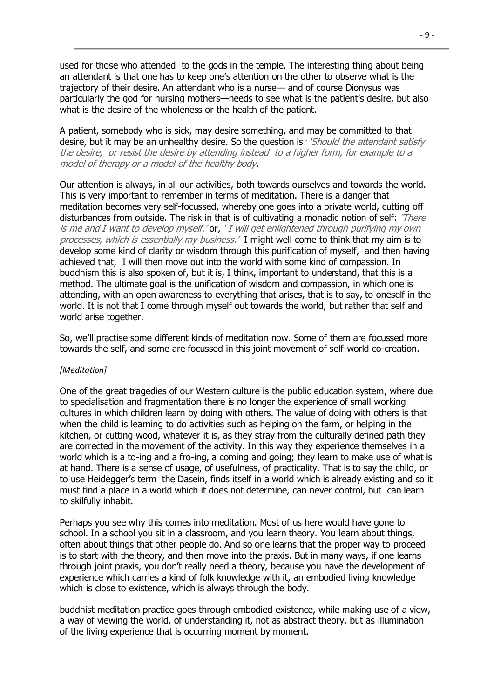used for those who attended to the gods in the temple. The interesting thing about being an attendant is that one has to keep one's attention on the other to observe what is the trajectory of their desire. An attendant who is a nurse— and of course Dionysus was particularly the god for nursing mothers—needs to see what is the patient's desire, but also what is the desire of the wholeness or the health of the patient.

A patient, somebody who is sick, may desire something, and may be committed to that desire, but it may be an unhealthy desire. So the question is: *Should the attendant satisfy* the desire, or resist the desire by attending instead to a higher form, for example to a model of therapy or a model of the healthy body.

Our attention is always, in all our activities, both towards ourselves and towards the world. This is very important to remember in terms of meditation. There is a danger that meditation becomes very self-focussed, whereby one goes into a private world, cutting off disturbances from outside. The risk in that is of cultivating a monadic notion of self: 'There' is me and I want to develop myself.' or, ' I will get enlightened through purifying my own processes, which is essentially my business.' I might well come to think that my aim is to develop some kind of clarity or wisdom through this purification of myself, and then having achieved that, I will then move out into the world with some kind of compassion. In buddhism this is also spoken of, but it is, I think, important to understand, that this is a method. The ultimate goal is the unification of wisdom and compassion, in which one is attending, with an open awareness to everything that arises, that is to say, to oneself in the world. It is not that I come through myself out towards the world, but rather that self and world arise together.

So, we'll practise some different kinds of meditation now. Some of them are focussed more towards the self, and some are focussed in this joint movement of self-world co-creation.

#### *[Meditation]*

One of the great tragedies of our Western culture is the public education system, where due to specialisation and fragmentation there is no longer the experience of small working cultures in which children learn by doing with others. The value of doing with others is that when the child is learning to do activities such as helping on the farm, or helping in the kitchen, or cutting wood, whatever it is, as they stray from the culturally defined path they are corrected in the movement of the activity. In this way they experience themselves in a world which is a to-ing and a fro-ing, a coming and going; they learn to make use of what is at hand. There is a sense of usage, of usefulness, of practicality. That is to say the child, or to use Heidegger's term the Dasein, finds itself in a world which is already existing and so it must find a place in a world which it does not determine, can never control, but can learn to skilfully inhabit.

Perhaps you see why this comes into meditation. Most of us here would have gone to school. In a school you sit in a classroom, and you learn theory. You learn about things, often about things that other people do. And so one learns that the proper way to proceed is to start with the theory, and then move into the praxis. But in many ways, if one learns through joint praxis, you don't really need a theory, because you have the development of experience which carries a kind of folk knowledge with it, an embodied living knowledge which is close to existence, which is always through the body.

buddhist meditation practice goes through embodied existence, while making use of a view, a way of viewing the world, of understanding it, not as abstract theory, but as illumination of the living experience that is occurring moment by moment.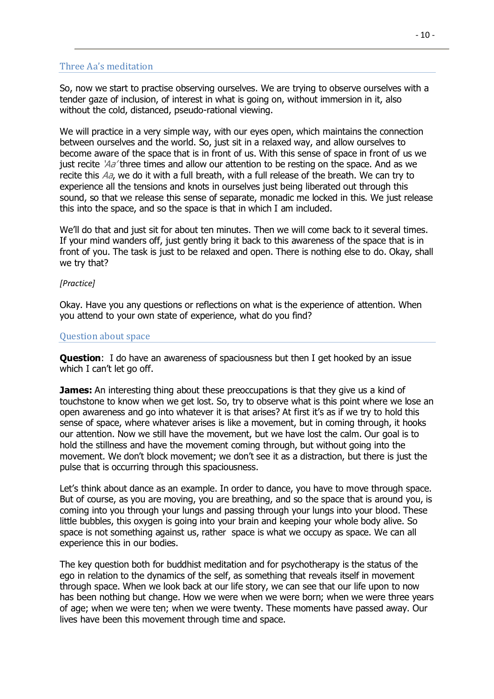# <span id="page-9-0"></span>Three Aa's meditation

So, now we start to practise observing ourselves. We are trying to observe ourselves with a tender gaze of inclusion, of interest in what is going on, without immersion in it, also without the cold, distanced, pseudo-rational viewing.

We will practice in a very simple way, with our eyes open, which maintains the connection between ourselves and the world. So, just sit in a relaxed way, and allow ourselves to become aware of the space that is in front of us. With this sense of space in front of us we just recite  $\lambda a$  three times and allow our attention to be resting on the space. And as we recite this Aa, we do it with a full breath, with a full release of the breath. We can try to experience all the tensions and knots in ourselves just being liberated out through this sound, so that we release this sense of separate, monadic me locked in this. We just release this into the space, and so the space is that in which I am included.

We'll do that and just sit for about ten minutes. Then we will come back to it several times. If your mind wanders off, just gently bring it back to this awareness of the space that is in front of you. The task is just to be relaxed and open. There is nothing else to do. Okay, shall we try that?

#### *[Practice]*

Okay. Have you any questions or reflections on what is the experience of attention. When you attend to your own state of experience, what do you find?

#### <span id="page-9-1"></span>Question about space

**Question**: I do have an awareness of spaciousness but then I get hooked by an issue which I can't let go off.

**James:** An interesting thing about these preoccupations is that they give us a kind of touchstone to know when we get lost. So, try to observe what is this point where we lose an open awareness and go into whatever it is that arises? At first it's as if we try to hold this sense of space, where whatever arises is like a movement, but in coming through, it hooks our attention. Now we still have the movement, but we have lost the calm. Our goal is to hold the stillness and have the movement coming through, but without going into the movement. We don't block movement; we don't see it as a distraction, but there is just the pulse that is occurring through this spaciousness.

Let's think about dance as an example. In order to dance, you have to move through space. But of course, as you are moving, you are breathing, and so the space that is around you, is coming into you through your lungs and passing through your lungs into your blood. These little bubbles, this oxygen is going into your brain and keeping your whole body alive. So space is not something against us, rather space is what we occupy as space. We can all experience this in our bodies.

The key question both for buddhist meditation and for psychotherapy is the status of the ego in relation to the dynamics of the self, as something that reveals itself in movement through space. When we look back at our life story, we can see that our life upon to now has been nothing but change. How we were when we were born; when we were three years of age; when we were ten; when we were twenty. These moments have passed away. Our lives have been this movement through time and space.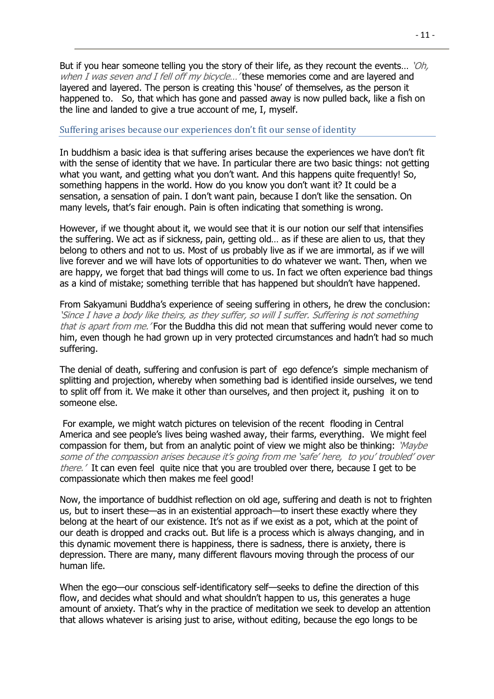But if you hear someone telling you the story of their life, as they recount the events... 'Oh, when I was seven and I fell off my bicycle...' these memories come and are layered and layered and layered. The person is creating this 'house' of themselves, as the person it happened to. So, that which has gone and passed away is now pulled back, like a fish on the line and landed to give a true account of me, I, myself.

#### <span id="page-10-0"></span>Suffering arises because our experiences don't fit our sense of identity

In buddhism a basic idea is that suffering arises because the experiences we have don't fit with the sense of identity that we have. In particular there are two basic things: not getting what you want, and getting what you don't want. And this happens quite frequently! So, something happens in the world. How do you know you don't want it? It could be a sensation, a sensation of pain. I don't want pain, because I don't like the sensation. On many levels, that's fair enough. Pain is often indicating that something is wrong.

However, if we thought about it, we would see that it is our notion our self that intensifies the suffering. We act as if sickness, pain, getting old… as if these are alien to us, that they belong to others and not to us. Most of us probably live as if we are immortal, as if we will live forever and we will have lots of opportunities to do whatever we want. Then, when we are happy, we forget that bad things will come to us. In fact we often experience bad things as a kind of mistake; something terrible that has happened but shouldn't have happened.

From Sakyamuni Buddha's experience of seeing suffering in others, he drew the conclusion: 'Since I have a body like theirs, as they suffer, so will I suffer. Suffering is not something that is apart from me. 'For the Buddha this did not mean that suffering would never come to him, even though he had grown up in very protected circumstances and hadn't had so much suffering.

The denial of death, suffering and confusion is part of ego defence's simple mechanism of splitting and projection, whereby when something bad is identified inside ourselves, we tend to split off from it. We make it other than ourselves, and then project it, pushing it on to someone else.

For example, we might watch pictures on television of the recent flooding in Central America and see people's lives being washed away, their farms, everything. We might feel compassion for them, but from an analytic point of view we might also be thinking: 'Maybe' some of the compassion arises because it's going from me 'safe' here, to you' troubled' over there.' It can even feel quite nice that you are troubled over there, because I get to be compassionate which then makes me feel good!

Now, the importance of buddhist reflection on old age, suffering and death is not to frighten us, but to insert these—as in an existential approach—to insert these exactly where they belong at the heart of our existence. It's not as if we exist as a pot, which at the point of our death is dropped and cracks out. But life is a process which is always changing, and in this dynamic movement there is happiness, there is sadness, there is anxiety, there is depression. There are many, many different flavours moving through the process of our human life.

When the ego—our conscious self-identificatory self—seeks to define the direction of this flow, and decides what should and what shouldn't happen to us, this generates a huge amount of anxiety. That's why in the practice of meditation we seek to develop an attention that allows whatever is arising just to arise, without editing, because the ego longs to be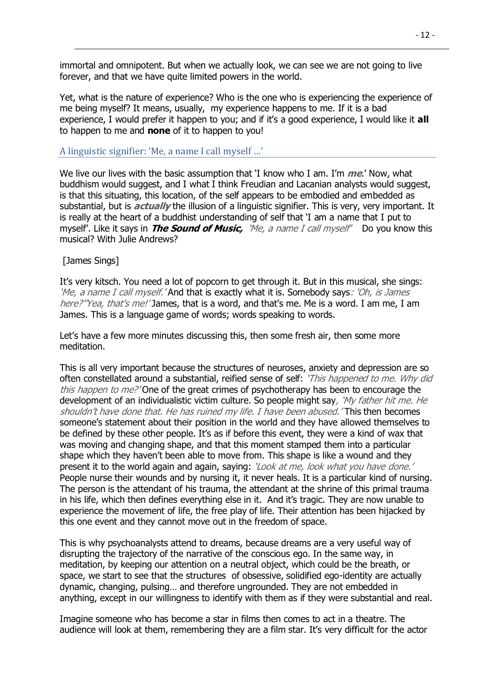immortal and omnipotent. But when we actually look, we can see we are not going to live forever, and that we have quite limited powers in the world.

Yet, what is the nature of experience? Who is the one who is experiencing the experience of me being myself? It means, usually, my experience happens to me. If it is a bad experience, I would prefer it happen to you; and if it's a good experience, I would like it **all** to happen to me and **none** of it to happen to you!

# <span id="page-11-0"></span>A linguistic signifier: 'Me, a name I call myself …'

We live our lives with the basic assumption that 'I know who I am. I'm **me**.' Now, what buddhism would suggest, and I what I think Freudian and Lacanian analysts would suggest, is that this situating, this location, of the self appears to be embodied and embedded as substantial, but is **actually** the illusion of a linguistic signifier. This is very, very important. It is really at the heart of a buddhist understanding of self that 'I am a name that I put to myself'. Like it says in **The Sound of Music,** 'Me, a name I call myself' Do you know this musical? With Julie Andrews?

# [James Sings]

It's very kitsch. You need a lot of popcorn to get through it. But in this musical, she sings: 'Me, a name I call myself.' And that is exactly what it is. Somebody says: 'Oh, is James here?''Yea, that's me!' James, that is a word, and that's me. Me is a word. I am me, I am James. This is a language game of words; words speaking to words.

Let's have a few more minutes discussing this, then some fresh air, then some more meditation.

This is all very important because the structures of neuroses, anxiety and depression are so often constellated around a substantial, reified sense of self: 'This happened to me. Why did this happen to me?' One of the great crimes of psychotherapy has been to encourage the development of an individualistic victim culture. So people might say, 'My father hit me. He shouldn't have done that. He has ruined my life. I have been abused. 'This then becomes someone's statement about their position in the world and they have allowed themselves to be defined by these other people. It's as if before this event, they were a kind of wax that was moving and changing shape, and that this moment stamped them into a particular shape which they haven't been able to move from. This shape is like a wound and they present it to the world again and again, saying: 'Look at me, look what you have done.' People nurse their wounds and by nursing it, it never heals. It is a particular kind of nursing. The person is the attendant of his trauma, the attendant at the shrine of this primal trauma in his life, which then defines everything else in it. And it's tragic. They are now unable to experience the movement of life, the free play of life. Their attention has been hijacked by this one event and they cannot move out in the freedom of space.

This is why psychoanalysts attend to dreams, because dreams are a very useful way of disrupting the trajectory of the narrative of the conscious ego. In the same way, in meditation, by keeping our attention on a neutral object, which could be the breath, or space, we start to see that the structures of obsessive, solidified ego-identity are actually dynamic, changing, pulsing… and therefore ungrounded. They are not embedded in anything, except in our willingness to identify with them as if they were substantial and real.

Imagine someone who has become a star in films then comes to act in a theatre. The audience will look at them, remembering they are a film star. It's very difficult for the actor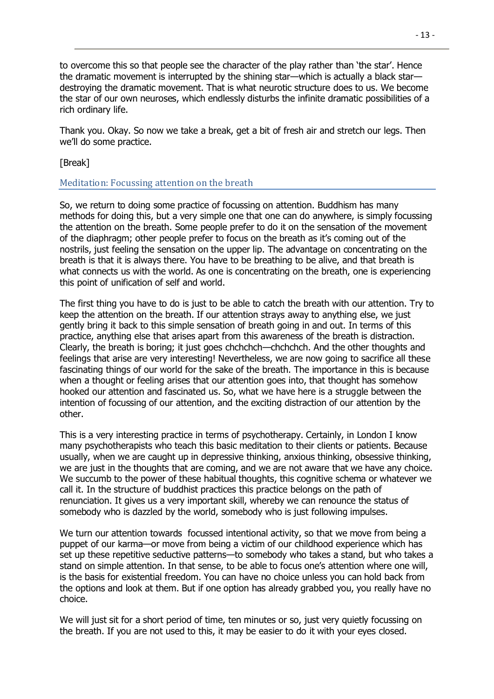to overcome this so that people see the character of the play rather than 'the star'. Hence the dramatic movement is interrupted by the shining star—which is actually a black star destroying the dramatic movement. That is what neurotic structure does to us. We become the star of our own neuroses, which endlessly disturbs the infinite dramatic possibilities of a rich ordinary life.

Thank you. Okay. So now we take a break, get a bit of fresh air and stretch our legs. Then we'll do some practice.

[Break]

# <span id="page-12-0"></span>Meditation: Focussing attention on the breath

So, we return to doing some practice of focussing on attention. Buddhism has many methods for doing this, but a very simple one that one can do anywhere, is simply focussing the attention on the breath. Some people prefer to do it on the sensation of the movement of the diaphragm; other people prefer to focus on the breath as it's coming out of the nostrils, just feeling the sensation on the upper lip. The advantage on concentrating on the breath is that it is always there. You have to be breathing to be alive, and that breath is what connects us with the world. As one is concentrating on the breath, one is experiencing this point of unification of self and world.

The first thing you have to do is just to be able to catch the breath with our attention. Try to keep the attention on the breath. If our attention strays away to anything else, we just gently bring it back to this simple sensation of breath going in and out. In terms of this practice, anything else that arises apart from this awareness of the breath is distraction. Clearly, the breath is boring; it just goes chchchch—chchchch. And the other thoughts and feelings that arise are very interesting! Nevertheless, we are now going to sacrifice all these fascinating things of our world for the sake of the breath. The importance in this is because when a thought or feeling arises that our attention goes into, that thought has somehow hooked our attention and fascinated us. So, what we have here is a struggle between the intention of focussing of our attention, and the exciting distraction of our attention by the other.

This is a very interesting practice in terms of psychotherapy. Certainly, in London I know many psychotherapists who teach this basic meditation to their clients or patients. Because usually, when we are caught up in depressive thinking, anxious thinking, obsessive thinking, we are just in the thoughts that are coming, and we are not aware that we have any choice. We succumb to the power of these habitual thoughts, this cognitive schema or whatever we call it. In the structure of buddhist practices this practice belongs on the path of renunciation. It gives us a very important skill, whereby we can renounce the status of somebody who is dazzled by the world, somebody who is just following impulses.

We turn our attention towards focussed intentional activity, so that we move from being a puppet of our karma—or move from being a victim of our childhood experience which has set up these repetitive seductive patterns—to somebody who takes a stand, but who takes a stand on simple attention. In that sense, to be able to focus one's attention where one will, is the basis for existential freedom. You can have no choice unless you can hold back from the options and look at them. But if one option has already grabbed you, you really have no choice.

We will just sit for a short period of time, ten minutes or so, just very quietly focussing on the breath. If you are not used to this, it may be easier to do it with your eyes closed.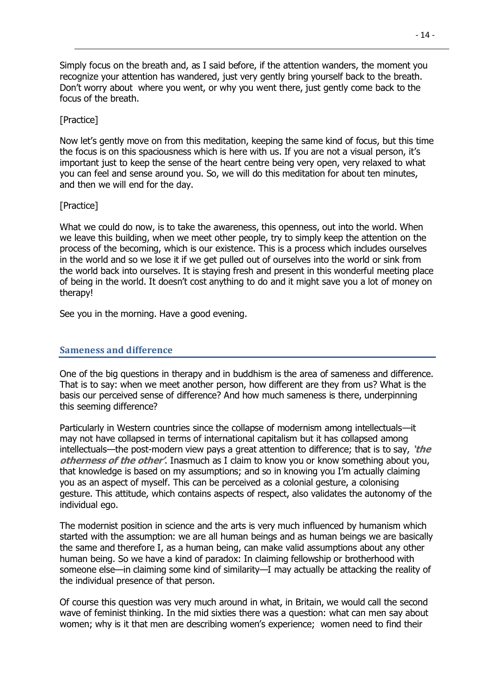Simply focus on the breath and, as I said before, if the attention wanders, the moment you recognize your attention has wandered, just very gently bring yourself back to the breath. Don't worry about where you went, or why you went there, just gently come back to the focus of the breath.

# [Practice]

Now let's gently move on from this meditation, keeping the same kind of focus, but this time the focus is on this spaciousness which is here with us. If you are not a visual person, it's important just to keep the sense of the heart centre being very open, very relaxed to what you can feel and sense around you. So, we will do this meditation for about ten minutes, and then we will end for the day.

# [Practice]

What we could do now, is to take the awareness, this openness, out into the world. When we leave this building, when we meet other people, try to simply keep the attention on the process of the becoming, which is our existence. This is a process which includes ourselves in the world and so we lose it if we get pulled out of ourselves into the world or sink from the world back into ourselves. It is staying fresh and present in this wonderful meeting place of being in the world. It doesn't cost anything to do and it might save you a lot of money on therapy!

<span id="page-13-0"></span>See you in the morning. Have a good evening.

# **Sameness and difference**

One of the big questions in therapy and in buddhism is the area of sameness and difference. That is to say: when we meet another person, how different are they from us? What is the basis our perceived sense of difference? And how much sameness is there, underpinning this seeming difference?

Particularly in Western countries since the collapse of modernism among intellectuals—it may not have collapsed in terms of international capitalism but it has collapsed among intellectuals—the post-modern view pays a great attention to difference; that is to say, **'the otherness of the other'**. Inasmuch as I claim to know you or know something about you, that knowledge is based on my assumptions; and so in knowing you I'm actually claiming you as an aspect of myself. This can be perceived as a colonial gesture, a colonising gesture. This attitude, which contains aspects of respect, also validates the autonomy of the individual ego.

The modernist position in science and the arts is very much influenced by humanism which started with the assumption: we are all human beings and as human beings we are basically the same and therefore I, as a human being, can make valid assumptions about any other human being. So we have a kind of paradox: In claiming fellowship or brotherhood with someone else—in claiming some kind of similarity—I may actually be attacking the reality of the individual presence of that person.

Of course this question was very much around in what, in Britain, we would call the second wave of feminist thinking. In the mid sixties there was a question: what can men say about women; why is it that men are describing women's experience; women need to find their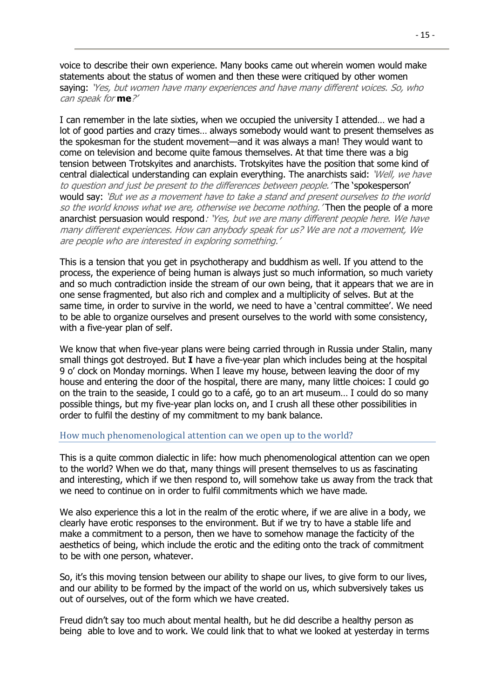voice to describe their own experience. Many books came out wherein women would make statements about the status of women and then these were critiqued by other women saying: 'Yes, but women have many experiences and have many different voices. So, who can speak for **me**?'

I can remember in the late sixties, when we occupied the university I attended… we had a lot of good parties and crazy times… always somebody would want to present themselves as the spokesman for the student movement—and it was always a man! They would want to come on television and become quite famous themselves. At that time there was a big tension between Trotskyites and anarchists. Trotskyites have the position that some kind of central dialectical understanding can explain everything. The anarchists said: 'Well, we have to question and just be present to the differences between people.' The 'spokesperson' would say: 'But we as a movement have to take a stand and present ourselves to the world so the world knows what we are, otherwise we become nothing. Then the people of a more anarchist persuasion would respond: 'Yes, but we are many different people here. We have many different experiences. How can anybody speak for us? We are not a movement, We are people who are interested in exploring something.'

This is a tension that you get in psychotherapy and buddhism as well. If you attend to the process, the experience of being human is always just so much information, so much variety and so much contradiction inside the stream of our own being, that it appears that we are in one sense fragmented, but also rich and complex and a multiplicity of selves. But at the same time, in order to survive in the world, we need to have a 'central committee'. We need to be able to organize ourselves and present ourselves to the world with some consistency, with a five-year plan of self.

We know that when five-year plans were being carried through in Russia under Stalin, many small things got destroyed. But **I** have a five-year plan which includes being at the hospital 9 o' clock on Monday mornings. When I leave my house, between leaving the door of my house and entering the door of the hospital, there are many, many little choices: I could go on the train to the seaside, I could go to a café, go to an art museum… I could do so many possible things, but my five-year plan locks on, and I crush all these other possibilities in order to fulfil the destiny of my commitment to my bank balance.

#### <span id="page-14-0"></span>How much phenomenological attention can we open up to the world?

This is a quite common dialectic in life: how much phenomenological attention can we open to the world? When we do that, many things will present themselves to us as fascinating and interesting, which if we then respond to, will somehow take us away from the track that we need to continue on in order to fulfil commitments which we have made.

We also experience this a lot in the realm of the erotic where, if we are alive in a body, we clearly have erotic responses to the environment. But if we try to have a stable life and make a commitment to a person, then we have to somehow manage the facticity of the aesthetics of being, which include the erotic and the editing onto the track of commitment to be with one person, whatever.

So, it's this moving tension between our ability to shape our lives, to give form to our lives, and our ability to be formed by the impact of the world on us, which subversively takes us out of ourselves, out of the form which we have created.

Freud didn't say too much about mental health, but he did describe a healthy person as being able to love and to work. We could link that to what we looked at yesterday in terms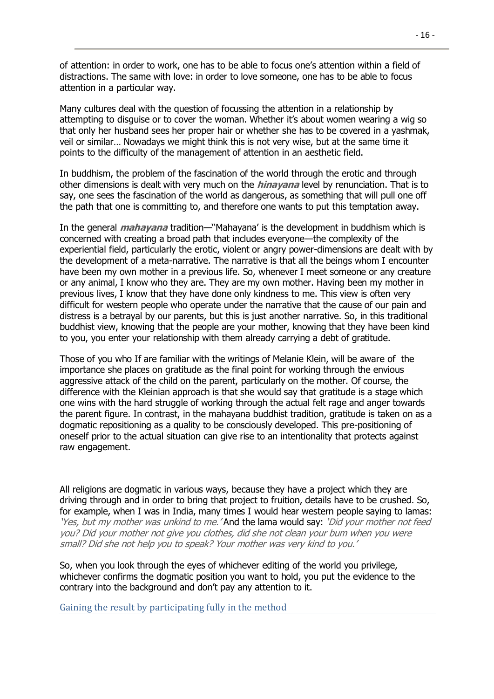of attention: in order to work, one has to be able to focus one's attention within a field of distractions. The same with love: in order to love someone, one has to be able to focus attention in a particular way.

Many cultures deal with the question of focussing the attention in a relationship by attempting to disguise or to cover the woman. Whether it's about women wearing a wig so that only her husband sees her proper hair or whether she has to be covered in a yashmak, veil or similar… Nowadays we might think this is not very wise, but at the same time it points to the difficulty of the management of attention in an aesthetic field.

In buddhism, the problem of the fascination of the world through the erotic and through other dimensions is dealt with very much on the **hinayana** level by renunciation. That is to say, one sees the fascination of the world as dangerous, as something that will pull one off the path that one is committing to, and therefore one wants to put this temptation away.

In the general **mahayana** tradition—''Mahayana' is the development in buddhism which is concerned with creating a broad path that includes everyone—the complexity of the experiential field, particularly the erotic, violent or angry power-dimensions are dealt with by the development of a meta-narrative. The narrative is that all the beings whom I encounter have been my own mother in a previous life. So, whenever I meet someone or any creature or any animal, I know who they are. They are my own mother. Having been my mother in previous lives, I know that they have done only kindness to me. This view is often very difficult for western people who operate under the narrative that the cause of our pain and distress is a betrayal by our parents, but this is just another narrative. So, in this traditional buddhist view, knowing that the people are your mother, knowing that they have been kind to you, you enter your relationship with them already carrying a debt of gratitude.

Those of you who If are familiar with the writings of Melanie Klein, will be aware of the importance she places on gratitude as the final point for working through the envious aggressive attack of the child on the parent, particularly on the mother. Of course, the difference with the Kleinian approach is that she would say that gratitude is a stage which one wins with the hard struggle of working through the actual felt rage and anger towards the parent figure. In contrast, in the mahayana buddhist tradition, gratitude is taken on as a dogmatic repositioning as a quality to be consciously developed. This pre-positioning of oneself prior to the actual situation can give rise to an intentionality that protects against raw engagement.

All religions are dogmatic in various ways, because they have a project which they are driving through and in order to bring that project to fruition, details have to be crushed. So, for example, when I was in India, many times I would hear western people saying to lamas: 'Yes, but my mother was unkind to me.' And the lama would say: 'Did your mother not feed you? Did your mother not give you clothes, did she not clean your bum when you were small? Did she not help you to speak? Your mother was very kind to you.'

So, when you look through the eyes of whichever editing of the world you privilege, whichever confirms the dogmatic position you want to hold, you put the evidence to the contrary into the background and don't pay any attention to it.

<span id="page-15-0"></span>Gaining the result by participating fully in the method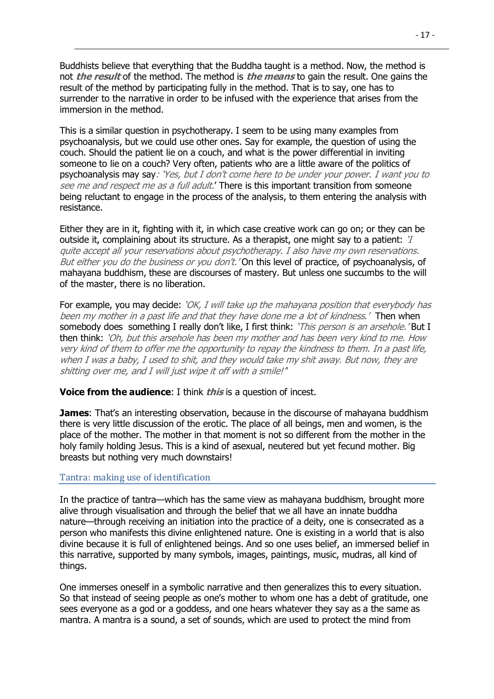Buddhists believe that everything that the Buddha taught is a method. Now, the method is not **the result** of the method. The method is **the means** to gain the result. One gains the result of the method by participating fully in the method. That is to say, one has to surrender to the narrative in order to be infused with the experience that arises from the immersion in the method.

This is a similar question in psychotherapy. I seem to be using many examples from psychoanalysis, but we could use other ones. Say for example, the question of using the couch. Should the patient lie on a couch, and what is the power differential in inviting someone to lie on a couch? Very often, patients who are a little aware of the politics of psychoanalysis may say: 'Yes, but I don't come here to be under your power. I want you to see me and respect me as a full adult.' There is this important transition from someone being reluctant to engage in the process of the analysis, to them entering the analysis with resistance.

Either they are in it, fighting with it, in which case creative work can go on; or they can be outside it, complaining about its structure. As a therapist, one might say to a patient: 'I quite accept all your reservations about psychotherapy. I also have my own reservations. But either you do the business or you don't. 'On this level of practice, of psychoanalysis, of mahayana buddhism, these are discourses of mastery. But unless one succumbs to the will of the master, there is no liberation.

For example, you may decide: 'OK, I will take up the mahayana position that every body has been my mother in a past life and that they have done me a lot of kindness.' Then when somebody does something I really don't like, I first think: 'This person is an arsehole.' But I then think: 'Oh, but this arsehole has been my mother and has been very kind to me. How very kind of them to offer me the opportunity to repay the kindness to them. In a past life, when I was a baby, I used to shit, and they would take my shit away. But now, they are shitting over me, and I will just wipe it off with a smile!"

#### **Voice from the audience**: I think **this** is a question of incest.

**James:** That's an interesting observation, because in the discourse of mahayana buddhism there is very little discussion of the erotic. The place of all beings, men and women, is the place of the mother. The mother in that moment is not so different from the mother in the holy family holding Jesus. This is a kind of asexual, neutered but yet fecund mother. Big breasts but nothing very much downstairs!

#### <span id="page-16-0"></span>Tantra: making use of identification

In the practice of tantra—which has the same view as mahayana buddhism, brought more alive through visualisation and through the belief that we all have an innate buddha nature—through receiving an initiation into the practice of a deity, one is consecrated as a person who manifests this divine enlightened nature. One is existing in a world that is also divine because it is full of enlightened beings. And so one uses belief, an immersed belief in this narrative, supported by many symbols, images, paintings, music, mudras, all kind of things.

One immerses oneself in a symbolic narrative and then generalizes this to every situation. So that instead of seeing people as one's mother to whom one has a debt of gratitude, one sees everyone as a god or a goddess, and one hears whatever they say as a the same as mantra. A mantra is a sound, a set of sounds, which are used to protect the mind from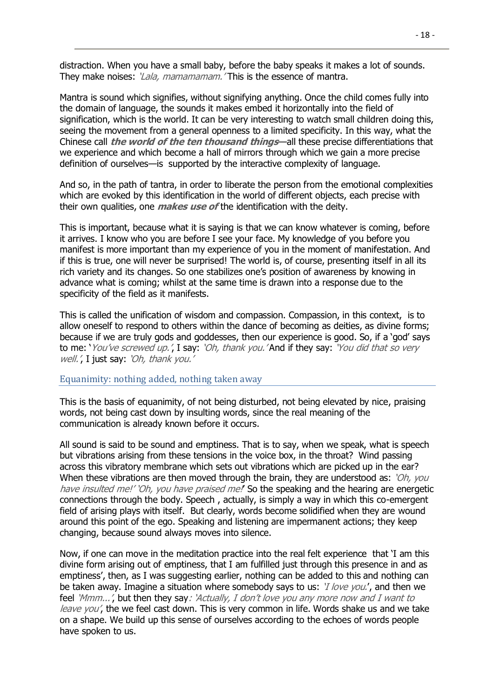distraction. When you have a small baby, before the baby speaks it makes a lot of sounds. They make noises: *'Lala, mamamamam.'* This is the essence of mantra.

Mantra is sound which signifies, without signifying anything. Once the child comes fully into the domain of language, the sounds it makes embed it horizontally into the field of signification, which is the world. It can be very interesting to watch small children doing this, seeing the movement from a general openness to a limited specificity. In this way, what the Chinese call **the world of the ten thousand things**—all these precise differentiations that we experience and which become a hall of mirrors through which we gain a more precise definition of ourselves—is supported by the interactive complexity of language.

And so, in the path of tantra, in order to liberate the person from the emotional complexities which are evoked by this identification in the world of different objects, each precise with their own qualities, one **makes use of** the identification with the deity.

This is important, because what it is saying is that we can know whatever is coming, before it arrives. I know who you are before I see your face. My knowledge of you before you manifest is more important than my experience of you in the moment of manifestation. And if this is true, one will never be surprised! The world is, of course, presenting itself in all its rich variety and its changes. So one stabilizes one's position of awareness by knowing in advance what is coming; whilst at the same time is drawn into a response due to the specificity of the field as it manifests.

This is called the unification of wisdom and compassion. Compassion, in this context, is to allow oneself to respond to others within the dance of becoming as deities, as divine forms; because if we are truly gods and goddesses, then our experience is good. So, if a 'god' says to me: 'You've screwed up.', I say: 'Oh, thank you.' And if they say: 'You did that so very well.', I just say: 'Oh, thank you.'

#### <span id="page-17-0"></span>Equanimity: nothing added, nothing taken away

This is the basis of equanimity, of not being disturbed, not being elevated by nice, praising words, not being cast down by insulting words, since the real meaning of the communication is already known before it occurs.

All sound is said to be sound and emptiness. That is to say, when we speak, what is speech but vibrations arising from these tensions in the voice box, in the throat? Wind passing across this vibratory membrane which sets out vibrations which are picked up in the ear? When these vibrations are then moved through the brain, they are understood as: '*Oh, you* have insulted me!' 'Oh, you have praised me!' So the speaking and the hearing are energetic connections through the body. Speech , actually, is simply a way in which this co-emergent field of arising plays with itself. But clearly, words become solidified when they are wound around this point of the ego. Speaking and listening are impermanent actions; they keep changing, because sound always moves into silence.

Now, if one can move in the meditation practice into the real felt experience that 'I am this divine form arising out of emptiness, that I am fulfilled just through this presence in and as emptiness', then, as I was suggesting earlier, nothing can be added to this and nothing can be taken away. Imagine a situation where somebody says to us: '*I love you.'*, and then we feel 'Mmm...', but then they say: 'Actually, I don't love you any more now and I want to leave you', the we feel cast down. This is very common in life. Words shake us and we take on a shape. We build up this sense of ourselves according to the echoes of words people have spoken to us.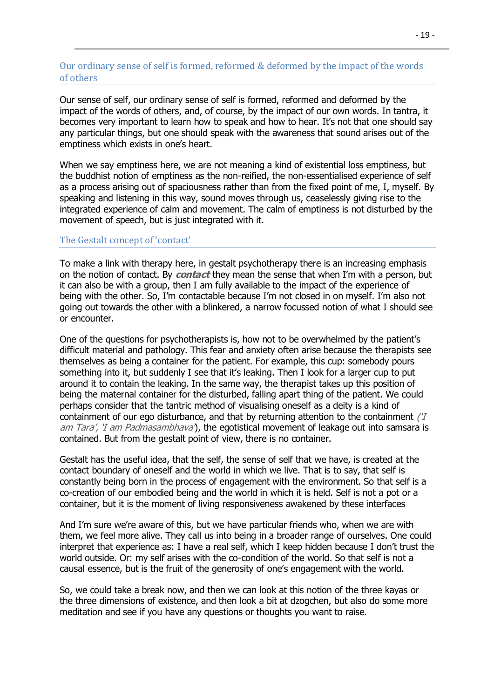# <span id="page-18-0"></span>Our ordinary sense of self is formed, reformed & deformed by the impact of the words of others

Our sense of self, our ordinary sense of self is formed, reformed and deformed by the impact of the words of others, and, of course, by the impact of our own words. In tantra, it becomes very important to learn how to speak and how to hear. It's not that one should say any particular things, but one should speak with the awareness that sound arises out of the emptiness which exists in one's heart.

When we say emptiness here, we are not meaning a kind of existential loss emptiness, but the buddhist notion of emptiness as the non-reified, the non-essentialised experience of self as a process arising out of spaciousness rather than from the fixed point of me, I, myself. By speaking and listening in this way, sound moves through us, ceaselessly giving rise to the integrated experience of calm and movement. The calm of emptiness is not disturbed by the movement of speech, but is just integrated with it.

#### <span id="page-18-1"></span>The Gestalt concept of 'contact'

To make a link with therapy here, in gestalt psychotherapy there is an increasing emphasis on the notion of contact. By **contact** they mean the sense that when I'm with a person, but it can also be with a group, then I am fully available to the impact of the experience of being with the other. So, I'm contactable because I'm not closed in on myself. I'm also not going out towards the other with a blinkered, a narrow focussed notion of what I should see or encounter.

One of the questions for psychotherapists is, how not to be overwhelmed by the patient's difficult material and pathology. This fear and anxiety often arise because the therapists see themselves as being a container for the patient. For example, this cup: somebody pours something into it, but suddenly I see that it's leaking. Then I look for a larger cup to put around it to contain the leaking. In the same way, the therapist takes up this position of being the maternal container for the disturbed, falling apart thing of the patient. We could perhaps consider that the tantric method of visualising oneself as a deity is a kind of containment of our ego disturbance, and that by returning attention to the containment /'I am Tara', 'I am Padmasambhava'), the egotistical movement of leakage out into samsara is contained. But from the gestalt point of view, there is no container.

Gestalt has the useful idea, that the self, the sense of self that we have, is created at the contact boundary of oneself and the world in which we live. That is to say, that self is constantly being born in the process of engagement with the environment. So that self is a co-creation of our embodied being and the world in which it is held. Self is not a pot or a container, but it is the moment of living responsiveness awakened by these interfaces

And I'm sure we're aware of this, but we have particular friends who, when we are with them, we feel more alive. They call us into being in a broader range of ourselves. One could interpret that experience as: I have a real self, which I keep hidden because I don't trust the world outside. Or: my self arises with the co-condition of the world. So that self is not a causal essence, but is the fruit of the generosity of one's engagement with the world.

So, we could take a break now, and then we can look at this notion of the three kayas or the three dimensions of existence, and then look a bit at dzogchen, but also do some more meditation and see if you have any questions or thoughts you want to raise.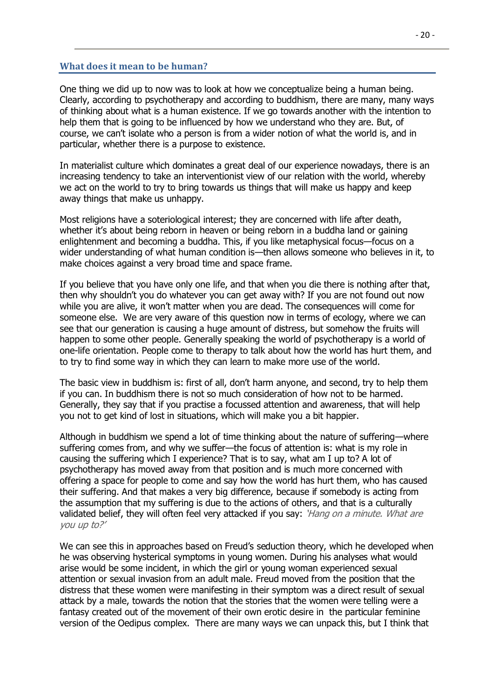#### **What does it mean to be human?**

<span id="page-19-0"></span>One thing we did up to now was to look at how we conceptualize being a human being. Clearly, according to psychotherapy and according to buddhism, there are many, many ways of thinking about what is a human existence. If we go towards another with the intention to help them that is going to be influenced by how we understand who they are. But, of course, we can't isolate who a person is from a wider notion of what the world is, and in particular, whether there is a purpose to existence.

In materialist culture which dominates a great deal of our experience nowadays, there is an increasing tendency to take an interventionist view of our relation with the world, whereby we act on the world to try to bring towards us things that will make us happy and keep away things that make us unhappy.

Most religions have a soteriological interest; they are concerned with life after death, whether it's about being reborn in heaven or being reborn in a buddha land or gaining enlightenment and becoming a buddha. This, if you like metaphysical focus—focus on a wider understanding of what human condition is—then allows someone who believes in it, to make choices against a very broad time and space frame.

If you believe that you have only one life, and that when you die there is nothing after that, then why shouldn't you do whatever you can get away with? If you are not found out now while you are alive, it won't matter when you are dead. The consequences will come for someone else. We are very aware of this question now in terms of ecology, where we can see that our generation is causing a huge amount of distress, but somehow the fruits will happen to some other people. Generally speaking the world of psychotherapy is a world of one-life orientation. People come to therapy to talk about how the world has hurt them, and to try to find some way in which they can learn to make more use of the world.

The basic view in buddhism is: first of all, don't harm anyone, and second, try to help them if you can. In buddhism there is not so much consideration of how not to be harmed. Generally, they say that if you practise a focussed attention and awareness, that will help you not to get kind of lost in situations, which will make you a bit happier.

Although in buddhism we spend a lot of time thinking about the nature of suffering—where suffering comes from, and why we suffer—the focus of attention is: what is my role in causing the suffering which I experience? That is to say, what am I up to? A lot of psychotherapy has moved away from that position and is much more concerned with offering a space for people to come and say how the world has hurt them, who has caused their suffering. And that makes a very big difference, because if somebody is acting from the assumption that my suffering is due to the actions of others, and that is a culturally validated belief, they will often feel very attacked if you say: 'Hang on a minute. What are you up to?'

We can see this in approaches based on Freud's seduction theory, which he developed when he was observing hysterical symptoms in young women. During his analyses what would arise would be some incident, in which the girl or young woman experienced sexual attention or sexual invasion from an adult male. Freud moved from the position that the distress that these women were manifesting in their symptom was a direct result of sexual attack by a male, towards the notion that the stories that the women were telling were a fantasy created out of the movement of their own erotic desire in the particular feminine version of the Oedipus complex. There are many ways we can unpack this, but I think that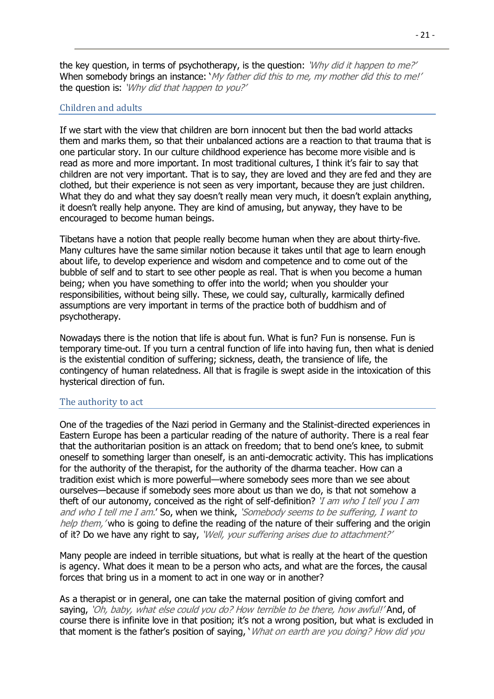the key question, in terms of psychotherapy, is the question: 'Why did it happen to me?' When somebody brings an instance: 'My father did this to me, my mother did this to me!' the question is: 'Why did that happen to you?'

# <span id="page-20-0"></span>Children and adults

If we start with the view that children are born innocent but then the bad world attacks them and marks them, so that their unbalanced actions are a reaction to that trauma that is one particular story. In our culture childhood experience has become more visible and is read as more and more important. In most traditional cultures, I think it's fair to say that children are not very important. That is to say, they are loved and they are fed and they are clothed, but their experience is not seen as very important, because they are just children. What they do and what they say doesn't really mean very much, it doesn't explain anything, it doesn't really help anyone. They are kind of amusing, but anyway, they have to be encouraged to become human beings.

Tibetans have a notion that people really become human when they are about thirty-five. Many cultures have the same similar notion because it takes until that age to learn enough about life, to develop experience and wisdom and competence and to come out of the bubble of self and to start to see other people as real. That is when you become a human being; when you have something to offer into the world; when you shoulder your responsibilities, without being silly. These, we could say, culturally, karmically defined assumptions are very important in terms of the practice both of buddhism and of psychotherapy.

Nowadays there is the notion that life is about fun. What is fun? Fun is nonsense. Fun is temporary time-out. If you turn a central function of life into having fun, then what is denied is the existential condition of suffering; sickness, death, the transience of life, the contingency of human relatedness. All that is fragile is swept aside in the intoxication of this hysterical direction of fun.

# <span id="page-20-1"></span>The authority to act

One of the tragedies of the Nazi period in Germany and the Stalinist-directed experiences in Eastern Europe has been a particular reading of the nature of authority. There is a real fear that the authoritarian position is an attack on freedom; that to bend one's knee, to submit oneself to something larger than oneself, is an anti-democratic activity. This has implications for the authority of the therapist, for the authority of the dharma teacher. How can a tradition exist which is more powerful—where somebody sees more than we see about ourselves—because if somebody sees more about us than we do, is that not somehow a theft of our autonomy, conceived as the right of self-definition? *'I am who I tell you I am* and who I tell me I am.' So, when we think, 'Somebody seems to be suffering, I want to help them, 'who is going to define the reading of the nature of their suffering and the origin of it? Do we have any right to say, 'Well, your suffering arises due to attachment?'

Many people are indeed in terrible situations, but what is really at the heart of the question is agency. What does it mean to be a person who acts, and what are the forces, the causal forces that bring us in a moment to act in one way or in another?

As a therapist or in general, one can take the maternal position of giving comfort and saying, 'Oh, baby, what else could you do? How terrible to be there, how awful!' And, of course there is infinite love in that position; it's not a wrong position, but what is excluded in that moment is the father's position of saying, 'What on earth are you doing? How did you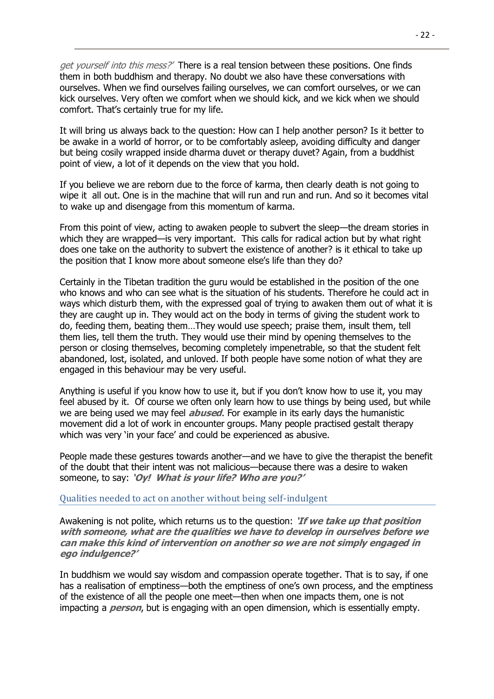get yourself into this mess?<sup>'</sup> There is a real tension between these positions. One finds them in both buddhism and therapy. No doubt we also have these conversations with ourselves. When we find ourselves failing ourselves, we can comfort ourselves, or we can kick ourselves. Very often we comfort when we should kick, and we kick when we should comfort. That's certainly true for my life.

It will bring us always back to the question: How can I help another person? Is it better to be awake in a world of horror, or to be comfortably asleep, avoiding difficulty and danger but being cosily wrapped inside dharma duvet or therapy duvet? Again, from a buddhist point of view, a lot of it depends on the view that you hold.

If you believe we are reborn due to the force of karma, then clearly death is not going to wipe it all out. One is in the machine that will run and run and run. And so it becomes vital to wake up and disengage from this momentum of karma.

From this point of view, acting to awaken people to subvert the sleep—the dream stories in which they are wrapped—is very important. This calls for radical action but by what right does one take on the authority to subvert the existence of another? is it ethical to take up the position that I know more about someone else's life than they do?

Certainly in the Tibetan tradition the guru would be established in the position of the one who knows and who can see what is the situation of his students. Therefore he could act in ways which disturb them, with the expressed goal of trying to awaken them out of what it is they are caught up in. They would act on the body in terms of giving the student work to do, feeding them, beating them…They would use speech; praise them, insult them, tell them lies, tell them the truth. They would use their mind by opening themselves to the person or closing themselves, becoming completely impenetrable, so that the student felt abandoned, lost, isolated, and unloved. If both people have some notion of what they are engaged in this behaviour may be very useful.

Anything is useful if you know how to use it, but if you don't know how to use it, you may feel abused by it. Of course we often only learn how to use things by being used, but while we are being used we may feel **abused**. For example in its early days the humanistic movement did a lot of work in encounter groups. Many people practised gestalt therapy which was very 'in your face' and could be experienced as abusive.

People made these gestures towards another—and we have to give the therapist the benefit of the doubt that their intent was not malicious—because there was a desire to waken someone, to say: **'Oy! What is your life? Who are you?'**

<span id="page-21-0"></span>Qualities needed to act on another without being self-indulgent

Awakening is not polite, which returns us to the question: **'If we take up that position with someone, what are the qualities we have to develop in ourselves before we can make this kind of intervention on another so we are not simply engaged in ego indulgence?'**

In buddhism we would say wisdom and compassion operate together. That is to say, if one has a realisation of emptiness—both the emptiness of one's own process, and the emptiness of the existence of all the people one meet—then when one impacts them, one is not impacting a **person**, but is engaging with an open dimension, which is essentially empty.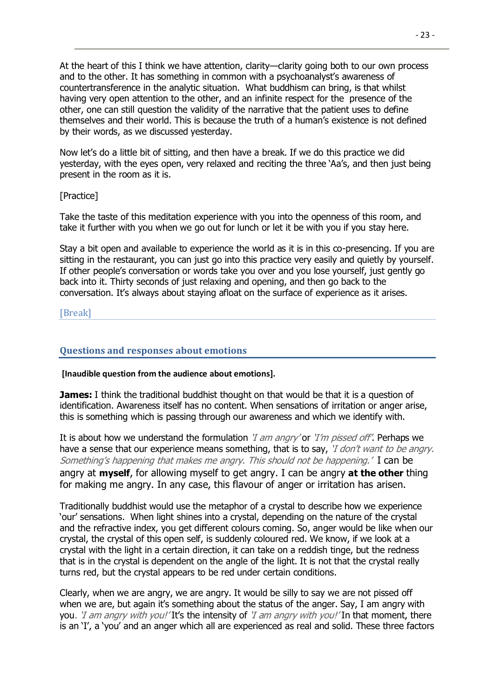At the heart of this I think we have attention, clarity—clarity going both to our own process and to the other. It has something in common with a psychoanalyst's awareness of countertransference in the analytic situation. What buddhism can bring, is that whilst having very open attention to the other, and an infinite respect for the presence of the other, one can still question the validity of the narrative that the patient uses to define themselves and their world. This is because the truth of a human's existence is not defined by their words, as we discussed yesterday.

Now let's do a little bit of sitting, and then have a break. If we do this practice we did yesterday, with the eyes open, very relaxed and reciting the three 'Aa's, and then just being present in the room as it is.

# [Practice]

Take the taste of this meditation experience with you into the openness of this room, and take it further with you when we go out for lunch or let it be with you if you stay here.

Stay a bit open and available to experience the world as it is in this co-presencing. If you are sitting in the restaurant, you can just go into this practice very easily and quietly by yourself. If other people's conversation or words take you over and you lose yourself, just gently go back into it. Thirty seconds of just relaxing and opening, and then go back to the conversation. It's always about staying afloat on the surface of experience as it arises.

#### <span id="page-22-1"></span><span id="page-22-0"></span>[Break]

# **Questions and responses about emotions**

#### **[Inaudible question from the audience about emotions].**

**James:** I think the traditional buddhist thought on that would be that it is a question of identification. Awareness itself has no content. When sensations of irritation or anger arise, this is something which is passing through our awareness and which we identify with.

It is about how we understand the formulation '*I am angry'* or '*I'm pissed off'*. Perhaps we have a sense that our experience means something, that is to say, *'I don't want to be angry*. Something's happening that makes me angry. This should not be happening.'I can be angry at **myself**, for allowing myself to get angry. I can be angry **at the other** thing for making me angry. In any case, this flavour of anger or irritation has arisen.

Traditionally buddhist would use the metaphor of a crystal to describe how we experience 'our' sensations. When light shines into a crystal, depending on the nature of the crystal and the refractive index, you get different colours coming. So, anger would be like when our crystal, the crystal of this open self, is suddenly coloured red. We know, if we look at a crystal with the light in a certain direction, it can take on a reddish tinge, but the redness that is in the crystal is dependent on the angle of the light. It is not that the crystal really turns red, but the crystal appears to be red under certain conditions.

Clearly, when we are angry, we are angry. It would be silly to say we are not pissed off when we are, but again it's something about the status of the anger. Say, I am angry with you. *'I am angry with you!'* It's the intensity of *'I am angry with you!'* In that moment, there is an 'I', a 'you' and an anger which all are experienced as real and solid. These three factors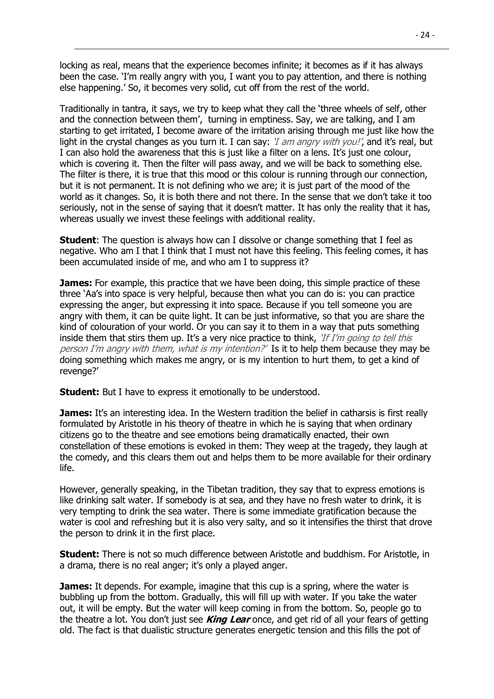locking as real, means that the experience becomes infinite; it becomes as if it has always been the case. 'I'm really angry with you, I want you to pay attention, and there is nothing else happening.' So, it becomes very solid, cut off from the rest of the world.

Traditionally in tantra, it says, we try to keep what they call the 'three wheels of self, other and the connection between them', turning in emptiness. Say, we are talking, and I am starting to get irritated, I become aware of the irritation arising through me just like how the light in the crystal changes as you turn it. I can say: '*I am angry with you!'*, and it's real, but I can also hold the awareness that this is just like a filter on a lens. It's just one colour, which is covering it. Then the filter will pass away, and we will be back to something else. The filter is there, it is true that this mood or this colour is running through our connection, but it is not permanent. It is not defining who we are; it is just part of the mood of the world as it changes. So, it is both there and not there. In the sense that we don't take it too seriously, not in the sense of saying that it doesn't matter. It has only the reality that it has, whereas usually we invest these feelings with additional reality.

**Student**: The question is always how can I dissolve or change something that I feel as negative. Who am I that I think that I must not have this feeling. This feeling comes, it has been accumulated inside of me, and who am I to suppress it?

**James:** For example, this practice that we have been doing, this simple practice of these three 'Aa's into space is very helpful, because then what you can do is: you can practice expressing the anger, but expressing it into space. Because if you tell someone you are angry with them, it can be quite light. It can be just informative, so that you are share the kind of colouration of your world. Or you can say it to them in a way that puts something inside them that stirs them up. It's a very nice practice to think,  $If$  I'm going to tell this person I'm angry with them, what is my intention?' Is it to help them because they may be doing something which makes me angry, or is my intention to hurt them, to get a kind of revenge?'

**Student:** But I have to express it emotionally to be understood.

**James:** It's an interesting idea. In the Western tradition the belief in catharsis is first really formulated by Aristotle in his theory of theatre in which he is saying that when ordinary citizens go to the theatre and see emotions being dramatically enacted, their own constellation of these emotions is evoked in them: They weep at the tragedy, they laugh at the comedy, and this clears them out and helps them to be more available for their ordinary life.

However, generally speaking, in the Tibetan tradition, they say that to express emotions is like drinking salt water. If somebody is at sea, and they have no fresh water to drink, it is very tempting to drink the sea water. There is some immediate gratification because the water is cool and refreshing but it is also very salty, and so it intensifies the thirst that drove the person to drink it in the first place.

**Student:** There is not so much difference between Aristotle and buddhism. For Aristotle, in a drama, there is no real anger; it's only a played anger.

**James:** It depends. For example, imagine that this cup is a spring, where the water is bubbling up from the bottom. Gradually, this will fill up with water. If you take the water out, it will be empty. But the water will keep coming in from the bottom. So, people go to the theatre a lot. You don't just see **King Lear** once, and get rid of all your fears of getting old. The fact is that dualistic structure generates energetic tension and this fills the pot of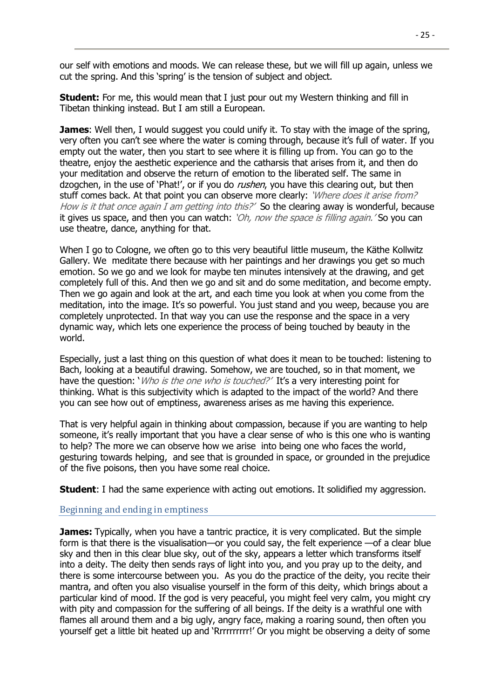our self with emotions and moods. We can release these, but we will fill up again, unless we cut the spring. And this 'spring' is the tension of subject and object.

**Student:** For me, this would mean that I just pour out my Western thinking and fill in Tibetan thinking instead. But I am still a European.

**James:** Well then, I would suggest you could unify it. To stay with the image of the spring, very often you can't see where the water is coming through, because it's full of water. If you empty out the water, then you start to see where it is filling up from. You can go to the theatre, enjoy the aesthetic experience and the catharsis that arises from it, and then do your meditation and observe the return of emotion to the liberated self. The same in dzogchen, in the use of 'Phat!', or if you do *rushen*, you have this clearing out, but then stuff comes back. At that point you can observe more clearly: 'Where does it arise from? How is it that once again I am getting into this?' So the clearing away is wonderful, because it gives us space, and then you can watch:  $'Oh$ , now the space is filling again.' So you can use theatre, dance, anything for that.

When I go to Cologne, we often go to this very beautiful little museum, the Käthe Kollwitz Gallery. We meditate there because with her paintings and her drawings you get so much emotion. So we go and we look for maybe ten minutes intensively at the drawing, and get completely full of this. And then we go and sit and do some meditation, and become empty. Then we go again and look at the art, and each time you look at when you come from the meditation, into the image. It's so powerful. You just stand and you weep, because you are completely unprotected. In that way you can use the response and the space in a very dynamic way, which lets one experience the process of being touched by beauty in the world.

Especially, just a last thing on this question of what does it mean to be touched: listening to Bach, looking at a beautiful drawing. Somehow, we are touched, so in that moment, we have the question: *Who is the one who is touched?'* It's a very interesting point for thinking. What is this subjectivity which is adapted to the impact of the world? And there you can see how out of emptiness, awareness arises as me having this experience.

That is very helpful again in thinking about compassion, because if you are wanting to help someone, it's really important that you have a clear sense of who is this one who is wanting to help? The more we can observe how we arise into being one who faces the world, gesturing towards helping, and see that is grounded in space, or grounded in the prejudice of the five poisons, then you have some real choice.

<span id="page-24-0"></span>**Student**: I had the same experience with acting out emotions. It solidified my aggression.

#### Beginning and ending in emptiness

**James:** Typically, when you have a tantric practice, it is very complicated. But the simple form is that there is the visualisation—or you could say, the felt experience —of a clear blue sky and then in this clear blue sky, out of the sky, appears a letter which transforms itself into a deity. The deity then sends rays of light into you, and you pray up to the deity, and there is some intercourse between you. As you do the practice of the deity, you recite their mantra, and often you also visualise yourself in the form of this deity, which brings about a particular kind of mood. If the god is very peaceful, you might feel very calm, you might cry with pity and compassion for the suffering of all beings. If the deity is a wrathful one with flames all around them and a big ugly, angry face, making a roaring sound, then often you yourself get a little bit heated up and 'Rrrrrrrrrr!' Or you might be observing a deity of some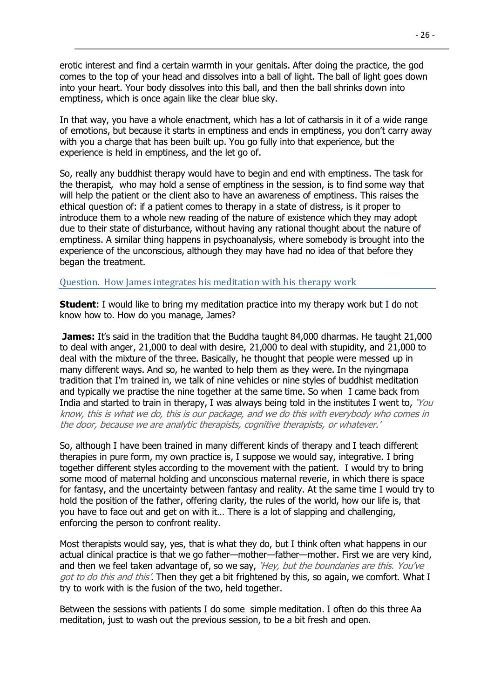erotic interest and find a certain warmth in your genitals. After doing the practice, the god comes to the top of your head and dissolves into a ball of light. The ball of light goes down into your heart. Your body dissolves into this ball, and then the ball shrinks down into emptiness, which is once again like the clear blue sky.

In that way, you have a whole enactment, which has a lot of catharsis in it of a wide range of emotions, but because it starts in emptiness and ends in emptiness, you don't carry away with you a charge that has been built up. You go fully into that experience, but the experience is held in emptiness, and the let go of.

So, really any buddhist therapy would have to begin and end with emptiness. The task for the therapist, who may hold a sense of emptiness in the session, is to find some way that will help the patient or the client also to have an awareness of emptiness. This raises the ethical question of: if a patient comes to therapy in a state of distress, is it proper to introduce them to a whole new reading of the nature of existence which they may adopt due to their state of disturbance, without having any rational thought about the nature of emptiness. A similar thing happens in psychoanalysis, where somebody is brought into the experience of the unconscious, although they may have had no idea of that before they began the treatment.

#### <span id="page-25-0"></span>Question. How James integrates his meditation with his therapy work

**Student**: I would like to bring my meditation practice into my therapy work but I do not know how to. How do you manage, James?

**James:** It's said in the tradition that the Buddha taught 84,000 dharmas. He taught 21,000 to deal with anger, 21,000 to deal with desire, 21,000 to deal with stupidity, and 21,000 to deal with the mixture of the three. Basically, he thought that people were messed up in many different ways. And so, he wanted to help them as they were. In the nyingmapa tradition that I'm trained in, we talk of nine vehicles or nine styles of buddhist meditation and typically we practise the nine together at the same time. So when I came back from India and started to train in therapy, I was always being told in the institutes I went to, 'You know, this is what we do, this is our package, and we do this with everybody who comes in the door, because we are analytic therapists, cognitive therapists, or whatever.'

So, although I have been trained in many different kinds of therapy and I teach different therapies in pure form, my own practice is, I suppose we would say, integrative. I bring together different styles according to the movement with the patient. I would try to bring some mood of maternal holding and unconscious maternal reverie, in which there is space for fantasy, and the uncertainty between fantasy and reality. At the same time I would try to hold the position of the father, offering clarity, the rules of the world, how our life is, that you have to face out and get on with it… There is a lot of slapping and challenging, enforcing the person to confront reality.

Most therapists would say, yes, that is what they do, but I think often what happens in our actual clinical practice is that we go father—mother—father—mother. First we are very kind, and then we feel taken advantage of, so we say, 'Hey, but the boundaries are this. You've got to do this and this'. Then they get a bit frightened by this, so again, we comfort. What I try to work with is the fusion of the two, held together.

Between the sessions with patients I do some simple meditation. I often do this three Aa meditation, just to wash out the previous session, to be a bit fresh and open.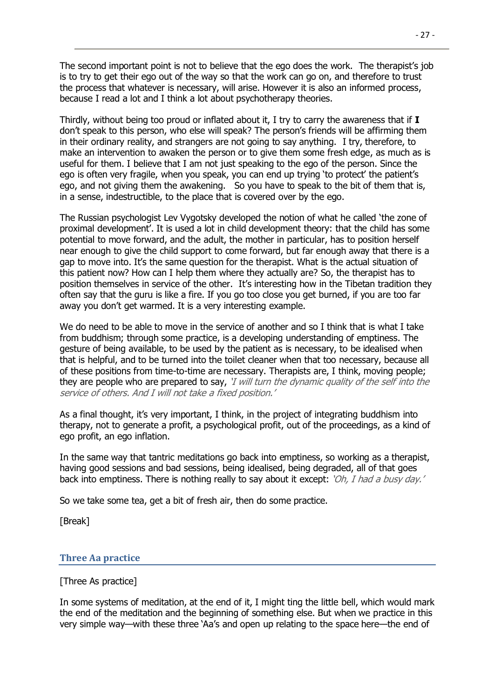The second important point is not to believe that the ego does the work. The therapist's job is to try to get their ego out of the way so that the work can go on, and therefore to trust the process that whatever is necessary, will arise. However it is also an informed process, because I read a lot and I think a lot about psychotherapy theories.

Thirdly, without being too proud or inflated about it, I try to carry the awareness that if **I** don't speak to this person, who else will speak? The person's friends will be affirming them in their ordinary reality, and strangers are not going to say anything. I try, therefore, to make an intervention to awaken the person or to give them some fresh edge, as much as is useful for them. I believe that I am not just speaking to the ego of the person. Since the ego is often very fragile, when you speak, you can end up trying 'to protect' the patient's ego, and not giving them the awakening. So you have to speak to the bit of them that is, in a sense, indestructible, to the place that is covered over by the ego.

The Russian psychologist Lev Vygotsky developed the notion of what he called 'the zone of proximal development'. It is used a lot in child development theory: that the child has some potential to move forward, and the adult, the mother in particular, has to position herself near enough to give the child support to come forward, but far enough away that there is a gap to move into. It's the same question for the therapist. What is the actual situation of this patient now? How can I help them where they actually are? So, the therapist has to position themselves in service of the other. It's interesting how in the Tibetan tradition they often say that the guru is like a fire. If you go too close you get burned, if you are too far away you don't get warmed. It is a very interesting example.

We do need to be able to move in the service of another and so I think that is what I take from buddhism; through some practice, is a developing understanding of emptiness. The gesture of being available, to be used by the patient as is necessary, to be idealised when that is helpful, and to be turned into the toilet cleaner when that too necessary, because all of these positions from time-to-time are necessary. Therapists are, I think, moving people; they are people who are prepared to say, 'I will turn the dynamic quality of the self into the service of others. And I will not take a fixed position.'

As a final thought, it's very important, I think, in the project of integrating buddhism into therapy, not to generate a profit, a psychological profit, out of the proceedings, as a kind of ego profit, an ego inflation.

In the same way that tantric meditations go back into emptiness, so working as a therapist, having good sessions and bad sessions, being idealised, being degraded, all of that goes back into emptiness. There is nothing really to say about it except: 'Oh, I had a busy day.'

So we take some tea, get a bit of fresh air, then do some practice.

<span id="page-26-0"></span>[Break]

# **Three Aa practice**

#### [Three As practice]

In some systems of meditation, at the end of it, I might ting the little bell, which would mark the end of the meditation and the beginning of something else. But when we practice in this very simple way—with these three 'Aa's and open up relating to the space here—the end of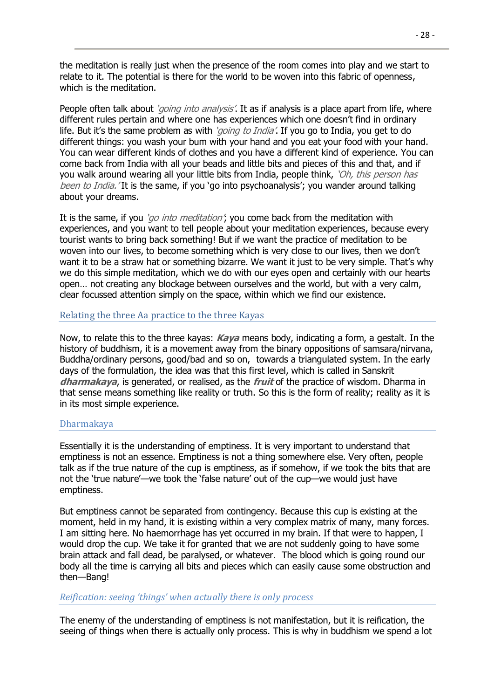the meditation is really just when the presence of the room comes into play and we start to relate to it. The potential is there for the world to be woven into this fabric of openness, which is the meditation.

People often talk about *'going into analysis'*. It as if analysis is a place apart from life, where different rules pertain and where one has experiences which one doesn't find in ordinary life. But it's the same problem as with *'going to India'*. If you go to India, you get to do different things: you wash your bum with your hand and you eat your food with your hand. You can wear different kinds of clothes and you have a different kind of experience. You can come back from India with all your beads and little bits and pieces of this and that, and if you walk around wearing all your little bits from India, people think, 'Oh, this person has been to India. 'It is the same, if you 'go into psychoanalysis'; you wander around talking about your dreams.

It is the same, if you '*go into meditation'*; you come back from the meditation with experiences, and you want to tell people about your meditation experiences, because every tourist wants to bring back something! But if we want the practice of meditation to be woven into our lives, to become something which is very close to our lives, then we don't want it to be a straw hat or something bizarre. We want it just to be very simple. That's why we do this simple meditation, which we do with our eyes open and certainly with our hearts open… not creating any blockage between ourselves and the world, but with a very calm, clear focussed attention simply on the space, within which we find our existence.

# <span id="page-27-0"></span>Relating the three Aa practice to the three Kayas

Now, to relate this to the three kayas: **Kaya** means body, indicating a form, a gestalt. In the history of buddhism, it is a movement away from the binary oppositions of samsara/nirvana, Buddha/ordinary persons, good/bad and so on, towards a triangulated system. In the early days of the formulation, the idea was that this first level, which is called in Sanskrit **dharmakaya**, is generated, or realised, as the **fruit** of the practice of wisdom. Dharma in that sense means something like reality or truth. So this is the form of reality; reality as it is in its most simple experience.

# <span id="page-27-1"></span>Dharmakaya

Essentially it is the understanding of emptiness. It is very important to understand that emptiness is not an essence. Emptiness is not a thing somewhere else. Very often, people talk as if the true nature of the cup is emptiness, as if somehow, if we took the bits that are not the 'true nature'—we took the 'false nature' out of the cup—we would just have emptiness.

But emptiness cannot be separated from contingency. Because this cup is existing at the moment, held in my hand, it is existing within a very complex matrix of many, many forces. I am sitting here. No haemorrhage has yet occurred in my brain. If that were to happen, I would drop the cup. We take it for granted that we are not suddenly going to have some brain attack and fall dead, be paralysed, or whatever. The blood which is going round our body all the time is carrying all bits and pieces which can easily cause some obstruction and then—Bang!

# <span id="page-27-2"></span>*Reification: seeing 'things' when actually there is only process*

The enemy of the understanding of emptiness is not manifestation, but it is reification, the seeing of things when there is actually only process. This is why in buddhism we spend a lot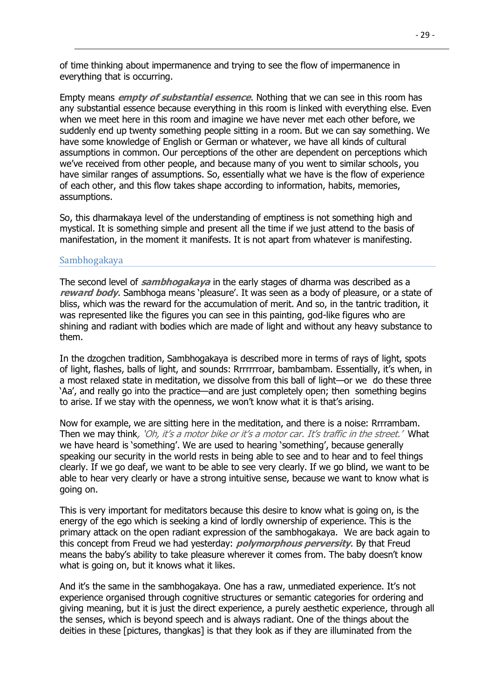of time thinking about impermanence and trying to see the flow of impermanence in everything that is occurring.

Empty means **empty of substantial essence**. Nothing that we can see in this room has any substantial essence because everything in this room is linked with everything else. Even when we meet here in this room and imagine we have never met each other before, we suddenly end up twenty something people sitting in a room. But we can say something. We have some knowledge of English or German or whatever, we have all kinds of cultural assumptions in common. Our perceptions of the other are dependent on perceptions which we've received from other people, and because many of you went to similar schools, you have similar ranges of assumptions. So, essentially what we have is the flow of experience of each other, and this flow takes shape according to information, habits, memories, assumptions.

So, this dharmakaya level of the understanding of emptiness is not something high and mystical. It is something simple and present all the time if we just attend to the basis of manifestation, in the moment it manifests. It is not apart from whatever is manifesting.

#### <span id="page-28-0"></span>Sambhogakaya

The second level of **sambhogakaya** in the early stages of dharma was described as a **reward body**. Sambhoga means 'pleasure'. It was seen as a body of pleasure, or a state of bliss, which was the reward for the accumulation of merit. And so, in the tantric tradition, it was represented like the figures you can see in this painting, god-like figures who are shining and radiant with bodies which are made of light and without any heavy substance to them.

In the dzogchen tradition, Sambhogakaya is described more in terms of rays of light, spots of light, flashes, balls of light, and sounds: Rrrrrrroar, bambambam. Essentially, it's when, in a most relaxed state in meditation, we dissolve from this ball of light—or we do these three 'Aa', and really go into the practice—and are just completely open; then something begins to arise. If we stay with the openness, we won't know what it is that's arising.

Now for example, we are sitting here in the meditation, and there is a noise: Rrrrambam. Then we may think, 'Oh, it's a motor bike or it's a motor car. It's traffic in the street.' What we have heard is 'something'. We are used to hearing 'something', because generally speaking our security in the world rests in being able to see and to hear and to feel things clearly. If we go deaf, we want to be able to see very clearly. If we go blind, we want to be able to hear very clearly or have a strong intuitive sense, because we want to know what is going on.

This is very important for meditators because this desire to know what is going on, is the energy of the ego which is seeking a kind of lordly ownership of experience. This is the primary attack on the open radiant expression of the sambhogakaya. We are back again to this concept from Freud we had yesterday: **polymorphous perversity**. By that Freud means the baby's ability to take pleasure wherever it comes from. The baby doesn't know what is going on, but it knows what it likes.

And it's the same in the sambhogakaya. One has a raw, unmediated experience. It's not experience organised through cognitive structures or semantic categories for ordering and giving meaning, but it is just the direct experience, a purely aesthetic experience, through all the senses, which is beyond speech and is always radiant. One of the things about the deities in these [pictures, thangkas] is that they look as if they are illuminated from the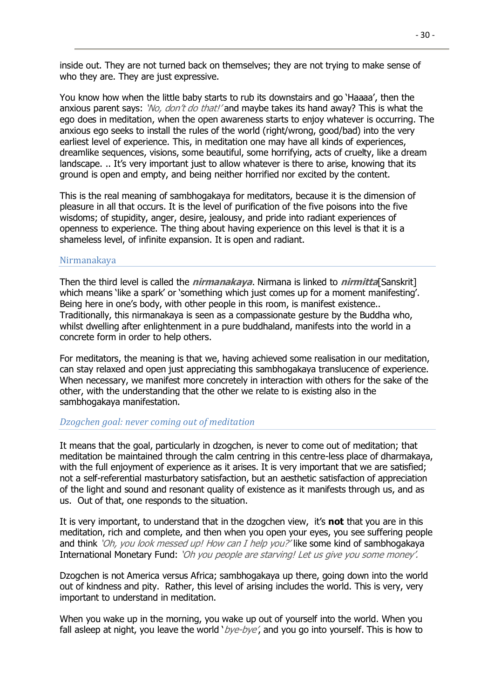inside out. They are not turned back on themselves; they are not trying to make sense of who they are. They are just expressive.

You know how when the little baby starts to rub its downstairs and go 'Haaaa', then the anxious parent says: 'No, don't do that!' and maybe takes its hand away? This is what the ego does in meditation, when the open awareness starts to enjoy whatever is occurring. The anxious ego seeks to install the rules of the world (right/wrong, good/bad) into the very earliest level of experience. This, in meditation one may have all kinds of experiences, dreamlike sequences, visions, some beautiful, some horrifying, acts of cruelty, like a dream landscape. .. It's very important just to allow whatever is there to arise, knowing that its ground is open and empty, and being neither horrified nor excited by the content.

This is the real meaning of sambhogakaya for meditators, because it is the dimension of pleasure in all that occurs. It is the level of purification of the five poisons into the five wisdoms; of stupidity, anger, desire, jealousy, and pride into radiant experiences of openness to experience. The thing about having experience on this level is that it is a shameless level, of infinite expansion. It is open and radiant.

#### <span id="page-29-0"></span>Nirmanakaya

Then the third level is called the **nirmanakaya**. Nirmana is linked to **nirmitta**[Sanskrit] which means 'like a spark' or 'something which just comes up for a moment manifesting'. Being here in one's body, with other people in this room, is manifest existence.. Traditionally, this nirmanakaya is seen as a compassionate gesture by the Buddha who, whilst dwelling after enlightenment in a pure buddhaland, manifests into the world in a concrete form in order to help others.

For meditators, the meaning is that we, having achieved some realisation in our meditation, can stay relaxed and open just appreciating this sambhogakaya translucence of experience. When necessary, we manifest more concretely in interaction with others for the sake of the other, with the understanding that the other we relate to is existing also in the sambhogakaya manifestation.

# <span id="page-29-1"></span>*Dzogchen goal: never coming out of meditation*

It means that the goal, particularly in dzogchen, is never to come out of meditation; that meditation be maintained through the calm centring in this centre-less place of dharmakaya, with the full enjoyment of experience as it arises. It is very important that we are satisfied; not a self-referential masturbatory satisfaction, but an aesthetic satisfaction of appreciation of the light and sound and resonant quality of existence as it manifests through us, and as us. Out of that, one responds to the situation.

It is very important, to understand that in the dzogchen view, it's **not** that you are in this meditation, rich and complete, and then when you open your eyes, you see suffering people and think 'Oh, you look messed up! How can I help you?' like some kind of sambhogakaya International Monetary Fund: 'Oh you people are starving! Let us give you some money'.

Dzogchen is not America versus Africa; sambhogakaya up there, going down into the world out of kindness and pity. Rather, this level of arising includes the world. This is very, very important to understand in meditation.

When you wake up in the morning, you wake up out of yourself into the world. When you fall asleep at night, you leave the world ' $bye-bye'$ , and you go into yourself. This is how to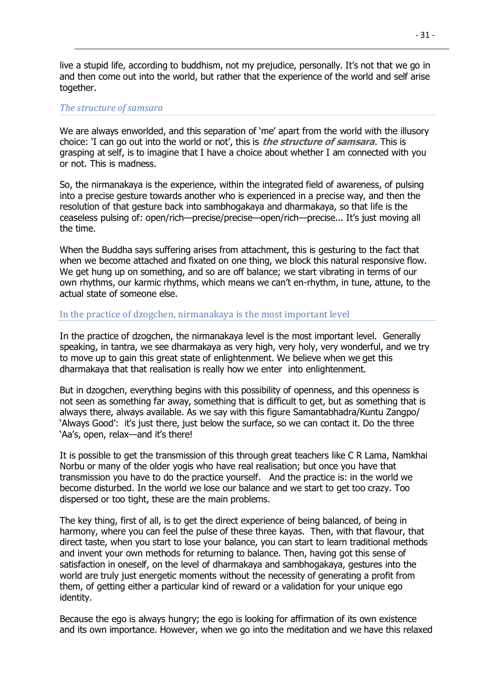live a stupid life, according to buddhism, not my prejudice, personally. It's not that we go in and then come out into the world, but rather that the experience of the world and self arise together.

# <span id="page-30-0"></span>*The structure of samsara*

We are always enworlded, and this separation of 'me' apart from the world with the illusory choice: 'I can go out into the world or not', this is **the structure of samsara**. This is grasping at self, is to imagine that I have a choice about whether I am connected with you or not. This is madness.

So, the nirmanakaya is the experience, within the integrated field of awareness, of pulsing into a precise gesture towards another who is experienced in a precise way, and then the resolution of that gesture back into sambhogakaya and dharmakaya, so that life is the ceaseless pulsing of: open/rich—precise/precise—open/rich—precise... It's just moving all the time.

When the Buddha says suffering arises from attachment, this is gesturing to the fact that when we become attached and fixated on one thing, we block this natural responsive flow. We get hung up on something, and so are off balance; we start vibrating in terms of our own rhythms, our karmic rhythms, which means we can't en-rhythm, in tune, attune, to the actual state of someone else.

#### <span id="page-30-1"></span>In the practice of dzogchen, nirmanakaya is the most important level

In the practice of dzogchen, the nirmanakaya level is the most important level. Generally speaking, in tantra, we see dharmakaya as very high, very holy, very wonderful, and we try to move up to gain this great state of enlightenment. We believe when we get this dharmakaya that that realisation is really how we enter into enlightenment.

But in dzogchen, everything begins with this possibility of openness, and this openness is not seen as something far away, something that is difficult to get, but as something that is always there, always available. As we say with this figure Samantabhadra/Kuntu Zangpo/ 'Always Good': it's just there, just below the surface, so we can contact it. Do the three 'Aa's, open, relax—and it's there!

It is possible to get the transmission of this through great teachers like C R Lama, Namkhai Norbu or many of the older yogis who have real realisation; but once you have that transmission you have to do the practice yourself. And the practice is: in the world we become disturbed. In the world we lose our balance and we start to get too crazy. Too dispersed or too tight, these are the main problems.

The key thing, first of all, is to get the direct experience of being balanced, of being in harmony, where you can feel the pulse of these three kayas. Then, with that flavour, that direct taste, when you start to lose your balance, you can start to learn traditional methods and invent your own methods for returning to balance. Then, having got this sense of satisfaction in oneself, on the level of dharmakaya and sambhogakaya, gestures into the world are truly just energetic moments without the necessity of generating a profit from them, of getting either a particular kind of reward or a validation for your unique ego identity.

Because the ego is always hungry; the ego is looking for affirmation of its own existence and its own importance. However, when we go into the meditation and we have this relaxed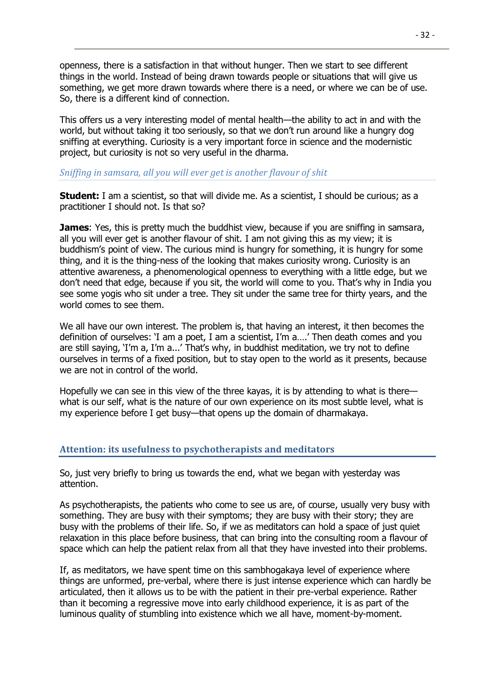openness, there is a satisfaction in that without hunger. Then we start to see different things in the world. Instead of being drawn towards people or situations that will give us something, we get more drawn towards where there is a need, or where we can be of use. So, there is a different kind of connection.

This offers us a very interesting model of mental health—the ability to act in and with the world, but without taking it too seriously, so that we don't run around like a hungry dog sniffing at everything. Curiosity is a very important force in science and the modernistic project, but curiosity is not so very useful in the dharma.

#### <span id="page-31-0"></span>*Sniffing in samsara, all you will ever get is another flavour of shit*

**Student:** I am a scientist, so that will divide me. As a scientist, I should be curious; as a practitioner I should not. Is that so?

**James**: Yes, this is pretty much the buddhist view, because if you are sniffing in samsara, all you will ever get is another flavour of shit. I am not giving this as my view; it is buddhism's point of view. The curious mind is hungry for something, it is hungry for some thing, and it is the thing-ness of the looking that makes curiosity wrong. Curiosity is an attentive awareness, a phenomenological openness to everything with a little edge, but we don't need that edge, because if you sit, the world will come to you. That's why in India you see some yogis who sit under a tree. They sit under the same tree for thirty years, and the world comes to see them.

We all have our own interest. The problem is, that having an interest, it then becomes the definition of ourselves: 'I am a poet, I am a scientist, I'm a….' Then death comes and you are still saying, 'I'm a, I'm a...' That's why, in buddhist meditation, we try not to define ourselves in terms of a fixed position, but to stay open to the world as it presents, because we are not in control of the world.

Hopefully we can see in this view of the three kayas, it is by attending to what is there what is our self, what is the nature of our own experience on its most subtle level, what is my experience before I get busy—that opens up the domain of dharmakaya.

# <span id="page-31-1"></span>**Attention: its usefulness to psychotherapists and meditators**

So, just very briefly to bring us towards the end, what we began with yesterday was attention.

As psychotherapists, the patients who come to see us are, of course, usually very busy with something. They are busy with their symptoms; they are busy with their story; they are busy with the problems of their life. So, if we as meditators can hold a space of just quiet relaxation in this place before business, that can bring into the consulting room a flavour of space which can help the patient relax from all that they have invested into their problems.

If, as meditators, we have spent time on this sambhogakaya level of experience where things are unformed, pre-verbal, where there is just intense experience which can hardly be articulated, then it allows us to be with the patient in their pre-verbal experience. Rather than it becoming a regressive move into early childhood experience, it is as part of the luminous quality of stumbling into existence which we all have, moment-by-moment.